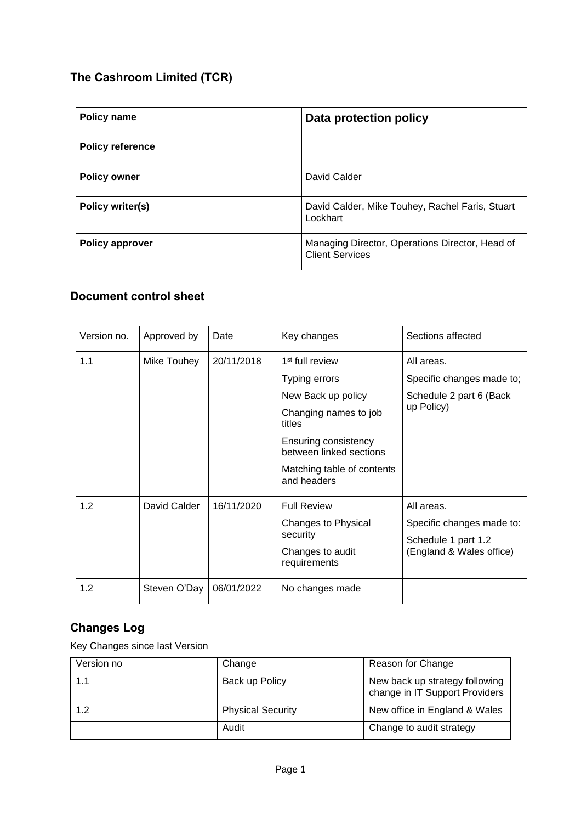# **The Cashroom Limited (TCR)**

| Policy name             | Data protection policy                                                    |  |
|-------------------------|---------------------------------------------------------------------------|--|
| <b>Policy reference</b> |                                                                           |  |
| <b>Policy owner</b>     | David Calder                                                              |  |
| Policy writer(s)        | David Calder, Mike Touhey, Rachel Faris, Stuart<br>Lockhart               |  |
| <b>Policy approver</b>  | Managing Director, Operations Director, Head of<br><b>Client Services</b> |  |

# **Document control sheet**

| Version no. | Approved by  | Date       | Key changes                                     | Sections affected         |
|-------------|--------------|------------|-------------------------------------------------|---------------------------|
| 1.1         | Mike Touhey  | 20/11/2018 | 1 <sup>st</sup> full review                     | All areas.                |
|             |              |            | Typing errors                                   | Specific changes made to; |
|             |              |            | New Back up policy                              | Schedule 2 part 6 (Back   |
|             |              |            | Changing names to job<br>titles                 | up Policy)                |
|             |              |            | Ensuring consistency<br>between linked sections |                           |
|             |              |            | Matching table of contents<br>and headers       |                           |
| 1.2         | David Calder | 16/11/2020 | <b>Full Review</b>                              | All areas.                |
|             |              |            | Changes to Physical                             | Specific changes made to: |
|             |              |            | security                                        | Schedule 1 part 1.2       |
|             |              |            | Changes to audit<br>requirements                | (England & Wales office)  |
| 1.2         | Steven O'Day | 06/01/2022 | No changes made                                 |                           |

# **Changes Log**

Key Changes since last Version

| Version no | Change                   | Reason for Change                                                |
|------------|--------------------------|------------------------------------------------------------------|
| 1.1        | Back up Policy           | New back up strategy following<br>change in IT Support Providers |
| 1.2        | <b>Physical Security</b> | New office in England & Wales                                    |
|            | Audit                    | Change to audit strategy                                         |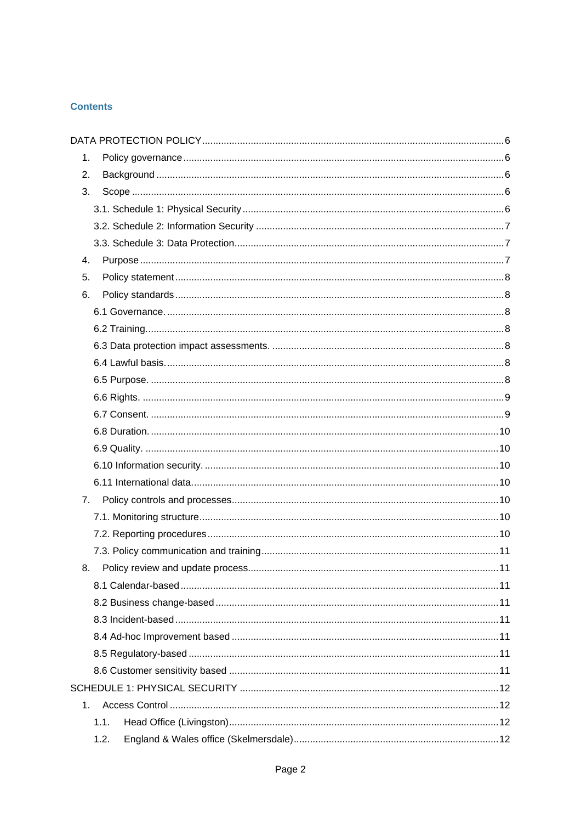# **Contents**

| 1.             |      |  |
|----------------|------|--|
| 2.             |      |  |
| 3.             |      |  |
|                |      |  |
|                |      |  |
|                |      |  |
| 4.             |      |  |
| 5.             |      |  |
| 6.             |      |  |
|                |      |  |
|                |      |  |
|                |      |  |
|                |      |  |
|                |      |  |
|                |      |  |
|                |      |  |
|                |      |  |
|                |      |  |
|                |      |  |
|                |      |  |
| 7.             |      |  |
|                |      |  |
|                |      |  |
|                |      |  |
| 8.             |      |  |
|                |      |  |
|                |      |  |
|                |      |  |
|                |      |  |
|                |      |  |
|                |      |  |
|                |      |  |
| 1 <sub>1</sub> |      |  |
|                | 1.1. |  |
|                | 1.2. |  |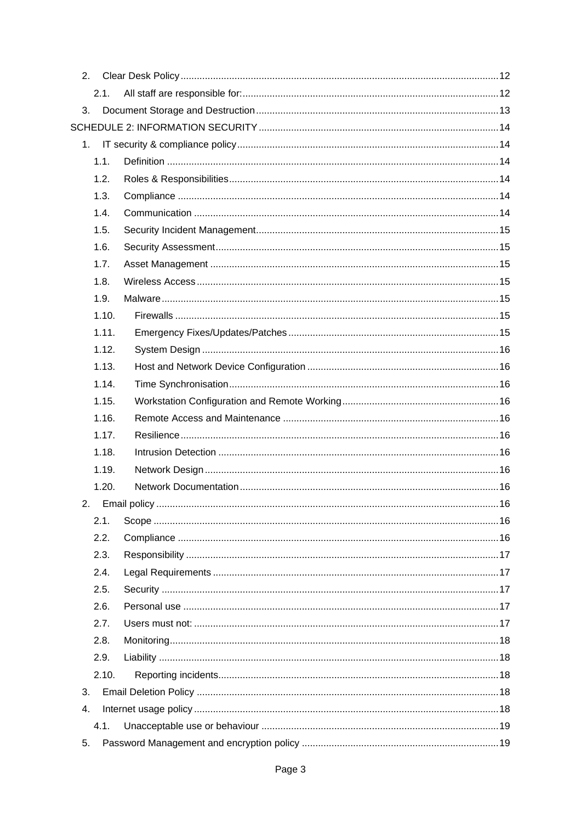| 2. |       |  |
|----|-------|--|
|    | 2.1.  |  |
| 3. |       |  |
|    |       |  |
|    |       |  |
|    | 1.1.  |  |
|    | 1.2.  |  |
|    | 1.3.  |  |
|    | 1.4.  |  |
|    | 1.5.  |  |
|    | 1.6.  |  |
|    | 1.7.  |  |
|    | 1.8.  |  |
|    | 1.9.  |  |
|    | 1.10. |  |
|    | 1.11. |  |
|    | 1.12. |  |
|    | 1.13. |  |
|    | 1.14. |  |
|    | 1.15. |  |
|    | 1.16. |  |
|    | 1.17. |  |
|    | 1.18. |  |
|    | 1.19. |  |
|    | 1.20. |  |
| 2. |       |  |
|    | 2.1.  |  |
|    | 2.2.  |  |
|    | 2.3.  |  |
|    | 2.4.  |  |
|    | 2.5.  |  |
|    | 2.6.  |  |
|    | 2.7.  |  |
|    | 2.8.  |  |
|    | 2.9.  |  |
|    | 2.10. |  |
| 3. |       |  |
| 4. |       |  |
|    |       |  |
| 5. | 4.1.  |  |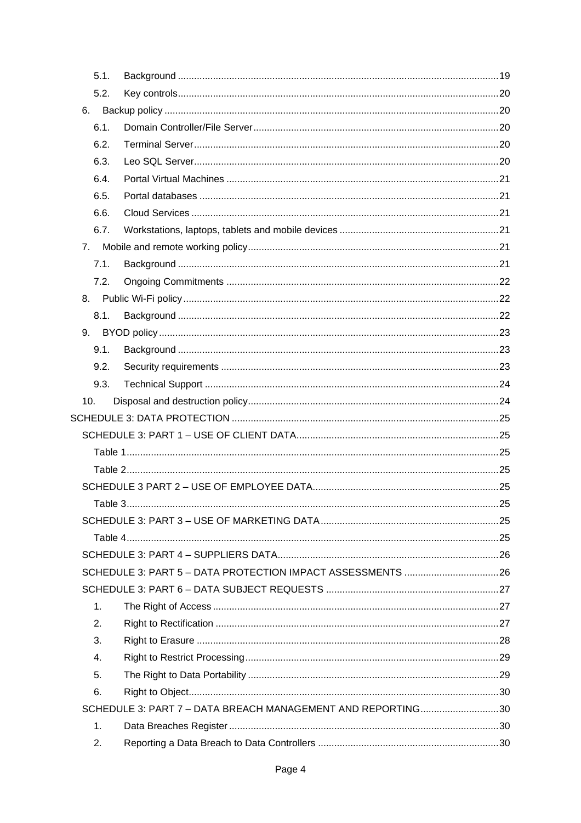|                | 5.1. |                                                             |  |
|----------------|------|-------------------------------------------------------------|--|
|                | 5.2. |                                                             |  |
| 6.             |      |                                                             |  |
|                | 6.1. |                                                             |  |
|                | 6.2. |                                                             |  |
|                | 6.3. |                                                             |  |
|                | 6.4. |                                                             |  |
|                | 6.5. |                                                             |  |
|                | 6.6. |                                                             |  |
|                | 6.7. |                                                             |  |
| 7 <sub>1</sub> |      |                                                             |  |
|                | 7.1. |                                                             |  |
|                | 7.2. |                                                             |  |
| 8.             |      |                                                             |  |
|                | 8.1. |                                                             |  |
| 9.             |      |                                                             |  |
|                | 9.1. |                                                             |  |
|                | 9.2. |                                                             |  |
|                | 9.3. |                                                             |  |
| 10.            |      |                                                             |  |
|                |      |                                                             |  |
|                |      |                                                             |  |
|                |      |                                                             |  |
|                |      |                                                             |  |
|                |      |                                                             |  |
|                |      |                                                             |  |
|                |      |                                                             |  |
|                |      |                                                             |  |
|                |      |                                                             |  |
|                |      |                                                             |  |
|                |      |                                                             |  |
|                | 1.   |                                                             |  |
|                | 2.   |                                                             |  |
|                | 3.   |                                                             |  |
|                | 4.   |                                                             |  |
|                | 5.   |                                                             |  |
|                | 6.   |                                                             |  |
|                |      | SCHEDULE 3: PART 7 - DATA BREACH MANAGEMENT AND REPORTING30 |  |
|                | 1.   |                                                             |  |
|                | 2.   |                                                             |  |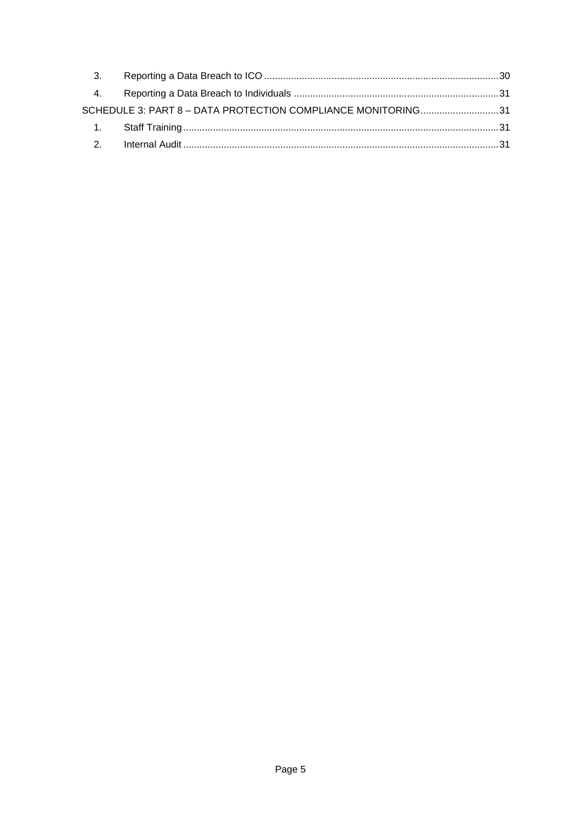| 3. |                                                              |  |
|----|--------------------------------------------------------------|--|
| 4. |                                                              |  |
|    | SCHEDULE 3: PART 8 - DATA PROTECTION COMPLIANCE MONITORING31 |  |
|    |                                                              |  |
|    |                                                              |  |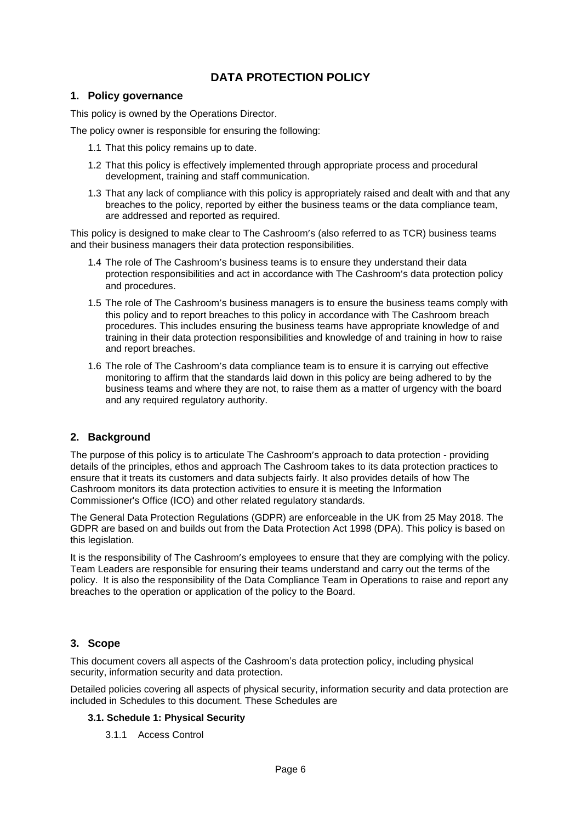# **DATA PROTECTION POLICY**

# <span id="page-5-1"></span><span id="page-5-0"></span>**1. Policy governance**

This policy is owned by the Operations Director.

The policy owner is responsible for ensuring the following:

- 1.1 That this policy remains up to date.
- 1.2 That this policy is effectively implemented through appropriate process and procedural development, training and staff communication.
- 1.3 That any lack of compliance with this policy is appropriately raised and dealt with and that any breaches to the policy, reported by either the business teams or the data compliance team, are addressed and reported as required.

This policy is designed to make clear to The Cashroom's (also referred to as TCR) business teams and their business managers their data protection responsibilities.

- 1.4 The role of The Cashroom's business teams is to ensure they understand their data protection responsibilities and act in accordance with The Cashroom's data protection policy and procedures.
- 1.5 The role of The Cashroom's business managers is to ensure the business teams comply with this policy and to report breaches to this policy in accordance with The Cashroom breach procedures. This includes ensuring the business teams have appropriate knowledge of and training in their data protection responsibilities and knowledge of and training in how to raise and report breaches.
- 1.6 The role of The Cashroom's data compliance team is to ensure it is carrying out effective monitoring to affirm that the standards laid down in this policy are being adhered to by the business teams and where they are not, to raise them as a matter of urgency with the board and any required regulatory authority.

# <span id="page-5-2"></span>**2. Background**

The purpose of this policy is to articulate The Cashroom's approach to data protection - providing details of the principles, ethos and approach The Cashroom takes to its data protection practices to ensure that it treats its customers and data subjects fairly. It also provides details of how The Cashroom monitors its data protection activities to ensure it is meeting the Information Commissioner's Office (ICO) and other related regulatory standards.

The General Data Protection Regulations (GDPR) are enforceable in the UK from 25 May 2018. The GDPR are based on and builds out from the Data Protection Act 1998 (DPA). This policy is based on this legislation.

It is the responsibility of The Cashroom's employees to ensure that they are complying with the policy. Team Leaders are responsible for ensuring their teams understand and carry out the terms of the policy. It is also the responsibility of the Data Compliance Team in Operations to raise and report any breaches to the operation or application of the policy to the Board.

# <span id="page-5-3"></span>**3. Scope**

This document covers all aspects of the Cashroom's data protection policy, including physical security, information security and data protection.

Detailed policies covering all aspects of physical security, information security and data protection are included in Schedules to this document. These Schedules are

## <span id="page-5-4"></span>**3.1. Schedule 1: Physical Security**

3.1.1 Access Control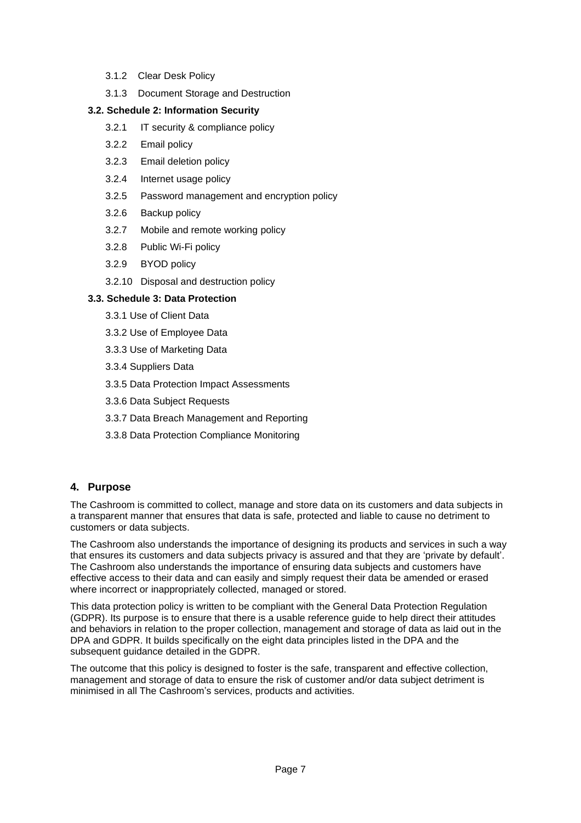- 3.1.2 Clear Desk Policy
- 3.1.3 Document Storage and Destruction

# <span id="page-6-0"></span>**3.2. Schedule 2: Information Security**

- 3.2.1 IT security & compliance policy
- 3.2.2 Email policy
- 3.2.3 Email deletion policy
- 3.2.4 Internet usage policy
- 3.2.5 Password management and encryption policy
- 3.2.6 Backup policy
- 3.2.7 Mobile and remote working policy
- 3.2.8 Public Wi-Fi policy
- 3.2.9 BYOD policy
- 3.2.10 Disposal and destruction policy

# <span id="page-6-1"></span>**3.3. Schedule 3: Data Protection**

- 3.3.1 Use of Client Data
- 3.3.2 Use of Employee Data
- 3.3.3 Use of Marketing Data
- 3.3.4 Suppliers Data
- 3.3.5 Data Protection Impact Assessments
- 3.3.6 Data Subject Requests
- 3.3.7 Data Breach Management and Reporting
- 3.3.8 Data Protection Compliance Monitoring

# <span id="page-6-2"></span>**4. Purpose**

The Cashroom is committed to collect, manage and store data on its customers and data subjects in a transparent manner that ensures that data is safe, protected and liable to cause no detriment to customers or data subjects.

The Cashroom also understands the importance of designing its products and services in such a way that ensures its customers and data subjects privacy is assured and that they are 'private by default'. The Cashroom also understands the importance of ensuring data subjects and customers have effective access to their data and can easily and simply request their data be amended or erased where incorrect or inappropriately collected, managed or stored.

This data protection policy is written to be compliant with the General Data Protection Regulation (GDPR). Its purpose is to ensure that there is a usable reference guide to help direct their attitudes and behaviors in relation to the proper collection, management and storage of data as laid out in the DPA and GDPR. It builds specifically on the eight data principles listed in the DPA and the subsequent guidance detailed in the GDPR.

<span id="page-6-3"></span>The outcome that this policy is designed to foster is the safe, transparent and effective collection, management and storage of data to ensure the risk of customer and/or data subject detriment is minimised in all The Cashroom's services, products and activities.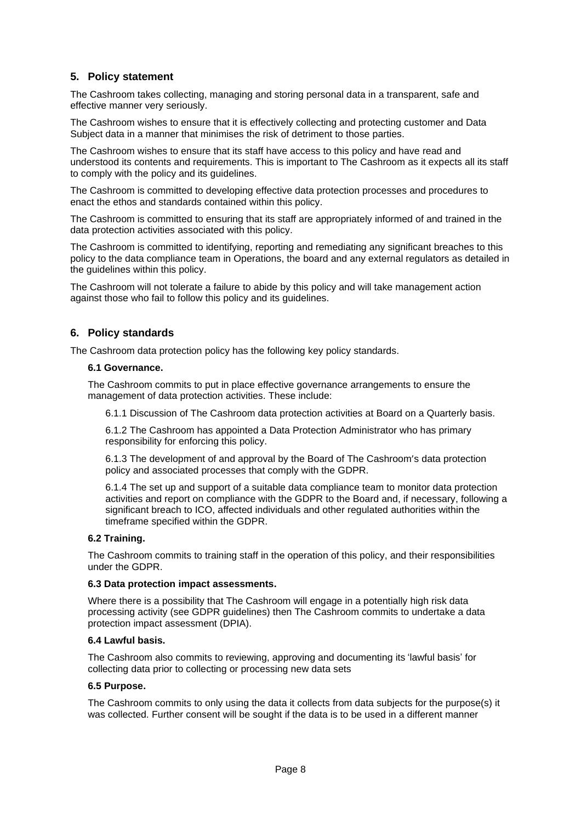# **5. Policy statement**

The Cashroom takes collecting, managing and storing personal data in a transparent, safe and effective manner very seriously.

The Cashroom wishes to ensure that it is effectively collecting and protecting customer and Data Subject data in a manner that minimises the risk of detriment to those parties.

The Cashroom wishes to ensure that its staff have access to this policy and have read and understood its contents and requirements. This is important to The Cashroom as it expects all its staff to comply with the policy and its guidelines.

The Cashroom is committed to developing effective data protection processes and procedures to enact the ethos and standards contained within this policy.

The Cashroom is committed to ensuring that its staff are appropriately informed of and trained in the data protection activities associated with this policy.

The Cashroom is committed to identifying, reporting and remediating any significant breaches to this policy to the data compliance team in Operations, the board and any external regulators as detailed in the guidelines within this policy.

The Cashroom will not tolerate a failure to abide by this policy and will take management action against those who fail to follow this policy and its guidelines.

# <span id="page-7-0"></span>**6. Policy standards**

<span id="page-7-1"></span>The Cashroom data protection policy has the following key policy standards.

#### **6.1 Governance.**

The Cashroom commits to put in place effective governance arrangements to ensure the management of data protection activities. These include:

6.1.1 Discussion of The Cashroom data protection activities at Board on a Quarterly basis.

6.1.2 The Cashroom has appointed a Data Protection Administrator who has primary responsibility for enforcing this policy.

6.1.3 The development of and approval by the Board of The Cashroom's data protection policy and associated processes that comply with the GDPR.

6.1.4 The set up and support of a suitable data compliance team to monitor data protection activities and report on compliance with the GDPR to the Board and, if necessary, following a significant breach to ICO, affected individuals and other regulated authorities within the timeframe specified within the GDPR.

## <span id="page-7-2"></span>**6.2 Training.**

The Cashroom commits to training staff in the operation of this policy, and their responsibilities under the GDPR.

#### <span id="page-7-3"></span>**6.3 Data protection impact assessments.**

Where there is a possibility that The Cashroom will engage in a potentially high risk data processing activity (see GDPR guidelines) then The Cashroom commits to undertake a data protection impact assessment (DPIA).

#### <span id="page-7-4"></span>**6.4 Lawful basis.**

The Cashroom also commits to reviewing, approving and documenting its 'lawful basis' for collecting data prior to collecting or processing new data sets

#### <span id="page-7-5"></span>**6.5 Purpose.**

<span id="page-7-6"></span>The Cashroom commits to only using the data it collects from data subjects for the purpose(s) it was collected. Further consent will be sought if the data is to be used in a different manner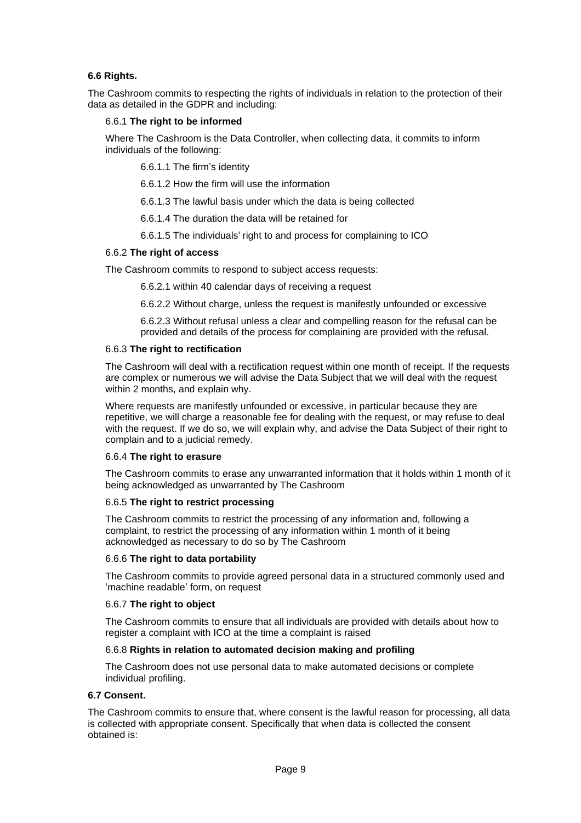# **6.6 Rights.**

The Cashroom commits to respecting the rights of individuals in relation to the protection of their data as detailed in the GDPR and including:

#### 6.6.1 **The right to be informed**

Where The Cashroom is the Data Controller, when collecting data, it commits to inform individuals of the following:

6.6.1.1 The firm's identity

6.6.1.2 How the firm will use the information

6.6.1.3 The lawful basis under which the data is being collected

6.6.1.4 The duration the data will be retained for

6.6.1.5 The individuals' right to and process for complaining to ICO

#### 6.6.2 **The right of access**

The Cashroom commits to respond to subject access requests:

6.6.2.1 within 40 calendar days of receiving a request

6.6.2.2 Without charge, unless the request is manifestly unfounded or excessive

6.6.2.3 Without refusal unless a clear and compelling reason for the refusal can be provided and details of the process for complaining are provided with the refusal.

#### 6.6.3 **The right to rectification**

The Cashroom will deal with a rectification request within one month of receipt. If the requests are complex or numerous we will advise the Data Subject that we will deal with the request within 2 months, and explain why.

Where requests are manifestly unfounded or excessive, in particular because they are repetitive, we will charge a reasonable fee for dealing with the request, or may refuse to deal with the request. If we do so, we will explain why, and advise the Data Subject of their right to complain and to a judicial remedy.

#### 6.6.4 **The right to erasure**

The Cashroom commits to erase any unwarranted information that it holds within 1 month of it being acknowledged as unwarranted by The Cashroom

#### 6.6.5 **The right to restrict processing**

The Cashroom commits to restrict the processing of any information and, following a complaint, to restrict the processing of any information within 1 month of it being acknowledged as necessary to do so by The Cashroom

#### 6.6.6 **The right to data portability**

The Cashroom commits to provide agreed personal data in a structured commonly used and 'machine readable' form, on request

#### 6.6.7 **The right to object**

The Cashroom commits to ensure that all individuals are provided with details about how to register a complaint with ICO at the time a complaint is raised

## 6.6.8 **Rights in relation to automated decision making and profiling**

The Cashroom does not use personal data to make automated decisions or complete individual profiling.

#### <span id="page-8-0"></span>**6.7 Consent.**

The Cashroom commits to ensure that, where consent is the lawful reason for processing, all data is collected with appropriate consent. Specifically that when data is collected the consent obtained is: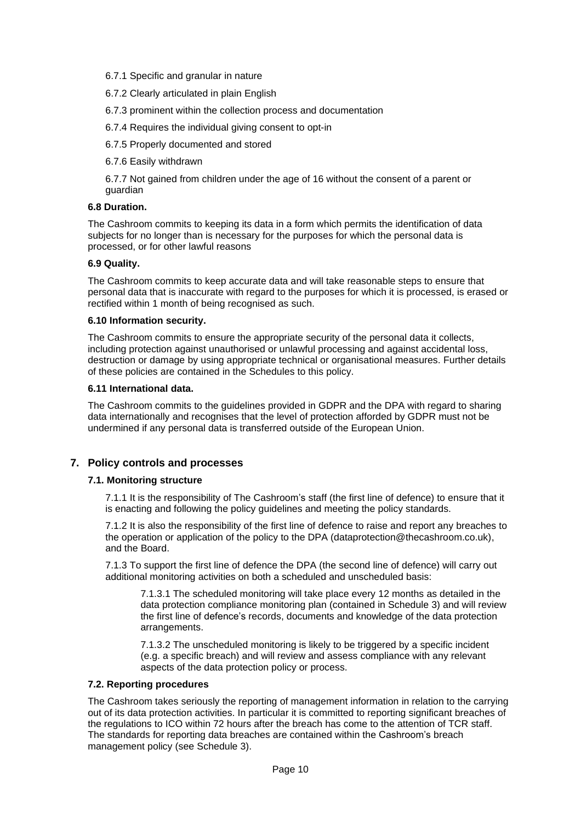#### 6.7.1 Specific and granular in nature

6.7.2 Clearly articulated in plain English

6.7.3 prominent within the collection process and documentation

6.7.4 Requires the individual giving consent to opt-in

6.7.5 Properly documented and stored

6.7.6 Easily withdrawn

6.7.7 Not gained from children under the age of 16 without the consent of a parent or guardian

#### <span id="page-9-0"></span>**6.8 Duration.**

The Cashroom commits to keeping its data in a form which permits the identification of data subjects for no longer than is necessary for the purposes for which the personal data is processed, or for other lawful reasons

#### <span id="page-9-1"></span>**6.9 Quality.**

The Cashroom commits to keep accurate data and will take reasonable steps to ensure that personal data that is inaccurate with regard to the purposes for which it is processed, is erased or rectified within 1 month of being recognised as such.

#### <span id="page-9-2"></span>**6.10 Information security.**

The Cashroom commits to ensure the appropriate security of the personal data it collects, including protection against unauthorised or unlawful processing and against accidental loss, destruction or damage by using appropriate technical or organisational measures. Further details of these policies are contained in the Schedules to this policy.

#### <span id="page-9-3"></span>**6.11 International data.**

The Cashroom commits to the guidelines provided in GDPR and the DPA with regard to sharing data internationally and recognises that the level of protection afforded by GDPR must not be undermined if any personal data is transferred outside of the European Union.

## <span id="page-9-5"></span><span id="page-9-4"></span>**7. Policy controls and processes**

## **7.1. Monitoring structure**

7.1.1 It is the responsibility of The Cashroom's staff (the first line of defence) to ensure that it is enacting and following the policy guidelines and meeting the policy standards.

7.1.2 It is also the responsibility of the first line of defence to raise and report any breaches to the operation or application of the policy to the DPA (dataprotection@thecashroom.co.uk), and the Board.

7.1.3 To support the first line of defence the DPA (the second line of defence) will carry out additional monitoring activities on both a scheduled and unscheduled basis:

7.1.3.1 The scheduled monitoring will take place every 12 months as detailed in the data protection compliance monitoring plan (contained in Schedule 3) and will review the first line of defence's records, documents and knowledge of the data protection arrangements.

7.1.3.2 The unscheduled monitoring is likely to be triggered by a specific incident (e.g. a specific breach) and will review and assess compliance with any relevant aspects of the data protection policy or process.

#### <span id="page-9-6"></span>**7.2. Reporting procedures**

The Cashroom takes seriously the reporting of management information in relation to the carrying out of its data protection activities. In particular it is committed to reporting significant breaches of the regulations to ICO within 72 hours after the breach has come to the attention of TCR staff. The standards for reporting data breaches are contained within the Cashroom's breach management policy (see Schedule 3).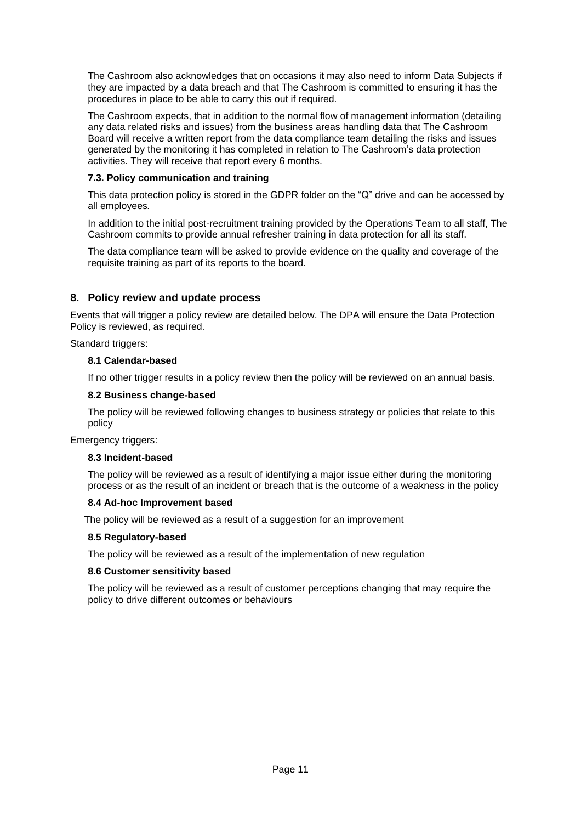The Cashroom also acknowledges that on occasions it may also need to inform Data Subjects if they are impacted by a data breach and that The Cashroom is committed to ensuring it has the procedures in place to be able to carry this out if required.

The Cashroom expects, that in addition to the normal flow of management information (detailing any data related risks and issues) from the business areas handling data that The Cashroom Board will receive a written report from the data compliance team detailing the risks and issues generated by the monitoring it has completed in relation to The Cashroom's data protection activities. They will receive that report every 6 months.

# <span id="page-10-0"></span>**7.3. Policy communication and training**

This data protection policy is stored in the GDPR folder on the "Q" drive and can be accessed by all employees*.*

In addition to the initial post-recruitment training provided by the Operations Team to all staff, The Cashroom commits to provide annual refresher training in data protection for all its staff.

The data compliance team will be asked to provide evidence on the quality and coverage of the requisite training as part of its reports to the board.

# <span id="page-10-1"></span>**8. Policy review and update process**

Events that will trigger a policy review are detailed below. The DPA will ensure the Data Protection Policy is reviewed, as required.

<span id="page-10-2"></span>Standard triggers:

#### **8.1 Calendar-based**

If no other trigger results in a policy review then the policy will be reviewed on an annual basis.

#### <span id="page-10-3"></span>**8.2 Business change-based**

The policy will be reviewed following changes to business strategy or policies that relate to this policy

<span id="page-10-4"></span>Emergency triggers:

## **8.3 Incident-based**

The policy will be reviewed as a result of identifying a major issue either during the monitoring process or as the result of an incident or breach that is the outcome of a weakness in the policy

## <span id="page-10-5"></span>**8.4 Ad-hoc Improvement based**

The policy will be reviewed as a result of a suggestion for an improvement

## <span id="page-10-6"></span>**8.5 Regulatory-based**

The policy will be reviewed as a result of the implementation of new regulation

#### <span id="page-10-7"></span>**8.6 Customer sensitivity based**

The policy will be reviewed as a result of customer perceptions changing that may require the policy to drive different outcomes or behaviours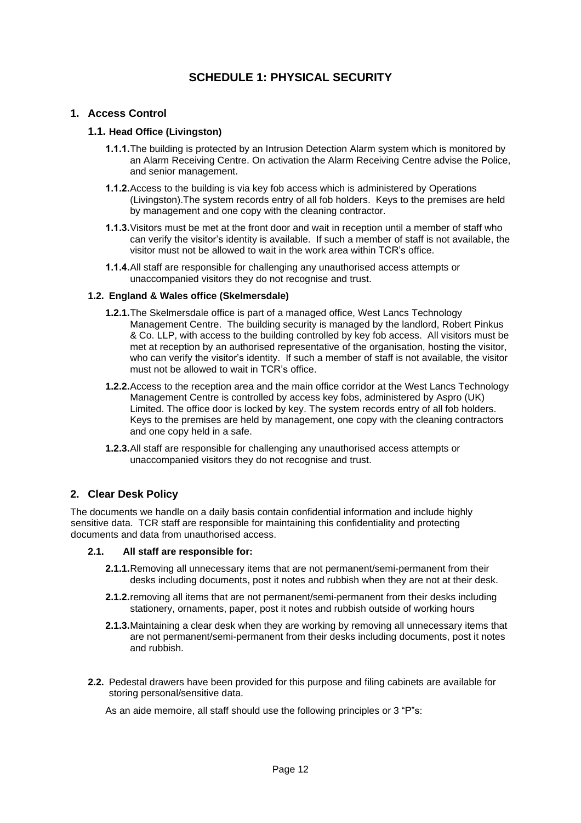# **SCHEDULE 1: PHYSICAL SECURITY**

# <span id="page-11-2"></span><span id="page-11-1"></span><span id="page-11-0"></span>**1. Access Control**

#### **1.1. Head Office (Livingston)**

- **1.1.1.**The building is protected by an Intrusion Detection Alarm system which is monitored by an Alarm Receiving Centre. On activation the Alarm Receiving Centre advise the Police, and senior management.
- **1.1.2.**Access to the building is via key fob access which is administered by Operations (Livingston).The system records entry of all fob holders. Keys to the premises are held by management and one copy with the cleaning contractor.
- **1.1.3.**Visitors must be met at the front door and wait in reception until a member of staff who can verify the visitor's identity is available. If such a member of staff is not available, the visitor must not be allowed to wait in the work area within TCR's office.
- **1.1.4.**All staff are responsible for challenging any unauthorised access attempts or unaccompanied visitors they do not recognise and trust.

#### <span id="page-11-3"></span>**1.2. England & Wales office (Skelmersdale)**

- **1.2.1.**The Skelmersdale office is part of a managed office, West Lancs Technology Management Centre. The building security is managed by the landlord, Robert Pinkus & Co. LLP, with access to the building controlled by key fob access. All visitors must be met at reception by an authorised representative of the organisation, hosting the visitor, who can verify the visitor's identity. If such a member of staff is not available, the visitor must not be allowed to wait in TCR's office.
- **1.2.2.**Access to the reception area and the main office corridor at the West Lancs Technology Management Centre is controlled by access key fobs, administered by Aspro (UK) Limited. The office door is locked by key. The system records entry of all fob holders. Keys to the premises are held by management, one copy with the cleaning contractors and one copy held in a safe.
- **1.2.3.**All staff are responsible for challenging any unauthorised access attempts or unaccompanied visitors they do not recognise and trust.

## <span id="page-11-4"></span>**2. Clear Desk Policy**

The documents we handle on a daily basis contain confidential information and include highly sensitive data. TCR staff are responsible for maintaining this confidentiality and protecting documents and data from unauthorised access.

#### **2.1. All staff are responsible for:**

- <span id="page-11-5"></span>**2.1.1.**Removing all unnecessary items that are not permanent/semi-permanent from their desks including documents, post it notes and rubbish when they are not at their desk.
- **2.1.2.**removing all items that are not permanent/semi-permanent from their desks including stationery, ornaments, paper, post it notes and rubbish outside of working hours
- **2.1.3.**Maintaining a clear desk when they are working by removing all unnecessary items that are not permanent/semi-permanent from their desks including documents, post it notes and rubbish.
- **2.2.** Pedestal drawers have been provided for this purpose and filing cabinets are available for storing personal/sensitive data.

As an aide memoire, all staff should use the following principles or 3 "P"s: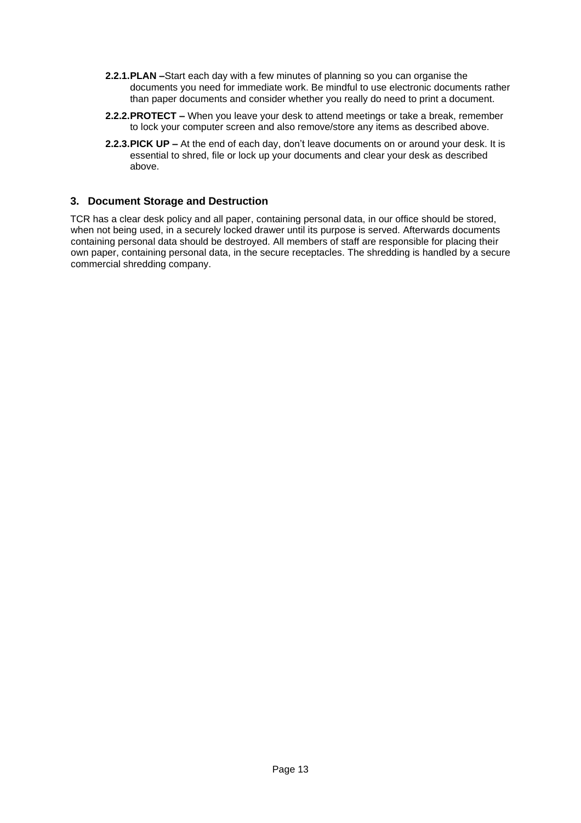- **2.2.1.PLAN –**Start each day with a few minutes of planning so you can organise the documents you need for immediate work. Be mindful to use electronic documents rather than paper documents and consider whether you really do need to print a document.
- **2.2.2.PROTECT –** When you leave your desk to attend meetings or take a break, remember to lock your computer screen and also remove/store any items as described above.
- **2.2.3.PICK UP –** At the end of each day, don't leave documents on or around your desk. It is essential to shred, file or lock up your documents and clear your desk as described above.

# <span id="page-12-0"></span>**3. Document Storage and Destruction**

TCR has a clear desk policy and all paper, containing personal data, in our office should be stored, when not being used, in a securely locked drawer until its purpose is served. Afterwards documents containing personal data should be destroyed. All members of staff are responsible for placing their own paper, containing personal data, in the secure receptacles. The shredding is handled by a secure commercial shredding company.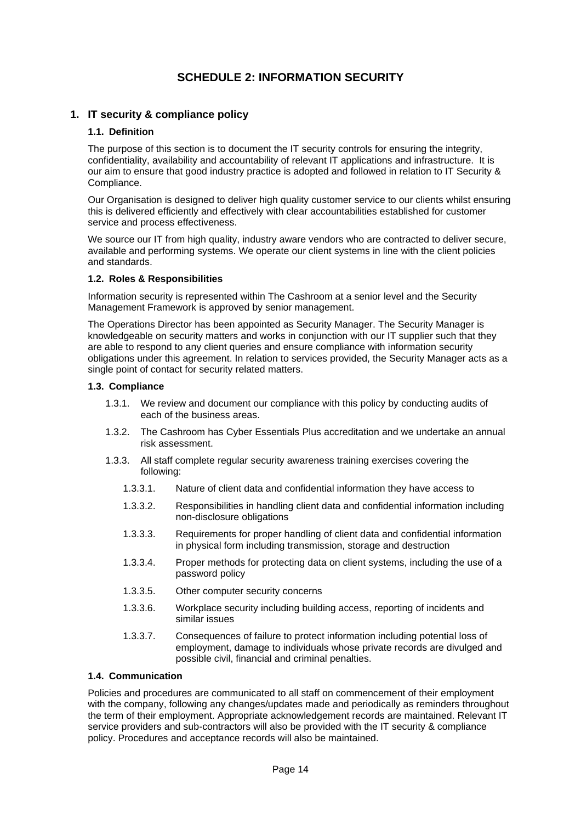# **SCHEDULE 2: INFORMATION SECURITY**

# <span id="page-13-2"></span><span id="page-13-1"></span><span id="page-13-0"></span>**1. IT security & compliance policy**

## **1.1. Definition**

The purpose of this section is to document the IT security controls for ensuring the integrity, confidentiality, availability and accountability of relevant IT applications and infrastructure. It is our aim to ensure that good industry practice is adopted and followed in relation to IT Security & Compliance.

Our Organisation is designed to deliver high quality customer service to our clients whilst ensuring this is delivered efficiently and effectively with clear accountabilities established for customer service and process effectiveness.

We source our IT from high quality, industry aware vendors who are contracted to deliver secure, available and performing systems. We operate our client systems in line with the client policies and standards.

## <span id="page-13-3"></span>**1.2. Roles & Responsibilities**

Information security is represented within The Cashroom at a senior level and the Security Management Framework is approved by senior management.

The Operations Director has been appointed as Security Manager. The Security Manager is knowledgeable on security matters and works in conjunction with our IT supplier such that they are able to respond to any client queries and ensure compliance with information security obligations under this agreement. In relation to services provided, the Security Manager acts as a single point of contact for security related matters.

## <span id="page-13-4"></span>**1.3. Compliance**

- 1.3.1. We review and document our compliance with this policy by conducting audits of each of the business areas.
- 1.3.2. The Cashroom has Cyber Essentials Plus accreditation and we undertake an annual risk assessment.
- 1.3.3. All staff complete regular security awareness training exercises covering the following:
	- 1.3.3.1. Nature of client data and confidential information they have access to
	- 1.3.3.2. Responsibilities in handling client data and confidential information including non-disclosure obligations
	- 1.3.3.3. Requirements for proper handling of client data and confidential information in physical form including transmission, storage and destruction
	- 1.3.3.4. Proper methods for protecting data on client systems, including the use of a password policy
	- 1.3.3.5. Other computer security concerns
	- 1.3.3.6. Workplace security including building access, reporting of incidents and similar issues
	- 1.3.3.7. Consequences of failure to protect information including potential loss of employment, damage to individuals whose private records are divulged and possible civil, financial and criminal penalties.

## <span id="page-13-5"></span>**1.4. Communication**

Policies and procedures are communicated to all staff on commencement of their employment with the company, following any changes/updates made and periodically as reminders throughout the term of their employment. Appropriate acknowledgement records are maintained. Relevant IT service providers and sub-contractors will also be provided with the IT security & compliance policy. Procedures and acceptance records will also be maintained.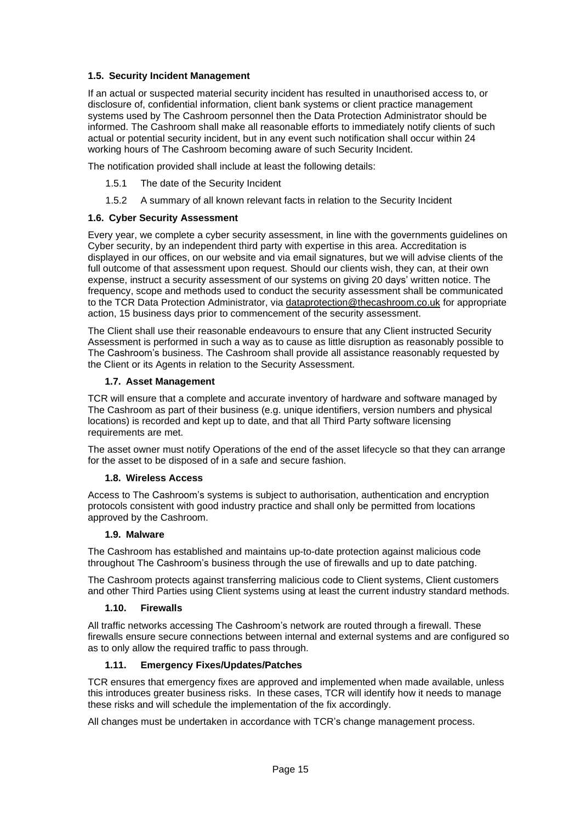# <span id="page-14-0"></span>**1.5. Security Incident Management**

If an actual or suspected material security incident has resulted in unauthorised access to, or disclosure of, confidential information, client bank systems or client practice management systems used by The Cashroom personnel then the Data Protection Administrator should be informed. The Cashroom shall make all reasonable efforts to immediately notify clients of such actual or potential security incident, but in any event such notification shall occur within 24 working hours of The Cashroom becoming aware of such Security Incident.

The notification provided shall include at least the following details:

- 1.5.1 The date of the Security Incident
- 1.5.2 A summary of all known relevant facts in relation to the Security Incident

#### <span id="page-14-1"></span>**1.6. Cyber Security Assessment**

Every year, we complete a cyber security assessment, in line with the governments guidelines on Cyber security, by an independent third party with expertise in this area. Accreditation is displayed in our offices, on our website and via email signatures, but we will advise clients of the full outcome of that assessment upon request. Should our clients wish, they can, at their own expense, instruct a security assessment of our systems on giving 20 days' written notice. The frequency, scope and methods used to conduct the security assessment shall be communicated to the TCR Data Protection Administrator, via [dataprotection@thecashroom.co.uk](mailto:dataprotection@thecashroom.co.uk) for appropriate action, 15 business days prior to commencement of the security assessment.

The Client shall use their reasonable endeavours to ensure that any Client instructed Security Assessment is performed in such a way as to cause as little disruption as reasonably possible to The Cashroom's business. The Cashroom shall provide all assistance reasonably requested by the Client or its Agents in relation to the Security Assessment.

#### <span id="page-14-2"></span>**1.7. Asset Management**

TCR will ensure that a complete and accurate inventory of hardware and software managed by The Cashroom as part of their business (e.g. unique identifiers, version numbers and physical locations) is recorded and kept up to date, and that all Third Party software licensing requirements are met.

The asset owner must notify Operations of the end of the asset lifecycle so that they can arrange for the asset to be disposed of in a safe and secure fashion.

#### **1.8. Wireless Access**

<span id="page-14-3"></span>Access to The Cashroom's systems is subject to authorisation, authentication and encryption protocols consistent with good industry practice and shall only be permitted from locations approved by the Cashroom.

#### **1.9. Malware**

<span id="page-14-4"></span>The Cashroom has established and maintains up-to-date protection against malicious code throughout The Cashroom's business through the use of firewalls and up to date patching.

The Cashroom protects against transferring malicious code to Client systems, Client customers and other Third Parties using Client systems using at least the current industry standard methods.

#### **1.10. Firewalls**

<span id="page-14-5"></span>All traffic networks accessing The Cashroom's network are routed through a firewall. These firewalls ensure secure connections between internal and external systems and are configured so as to only allow the required traffic to pass through.

## **1.11. Emergency Fixes/Updates/Patches**

<span id="page-14-6"></span>TCR ensures that emergency fixes are approved and implemented when made available, unless this introduces greater business risks. In these cases, TCR will identify how it needs to manage these risks and will schedule the implementation of the fix accordingly.

<span id="page-14-7"></span>All changes must be undertaken in accordance with TCR's change management process.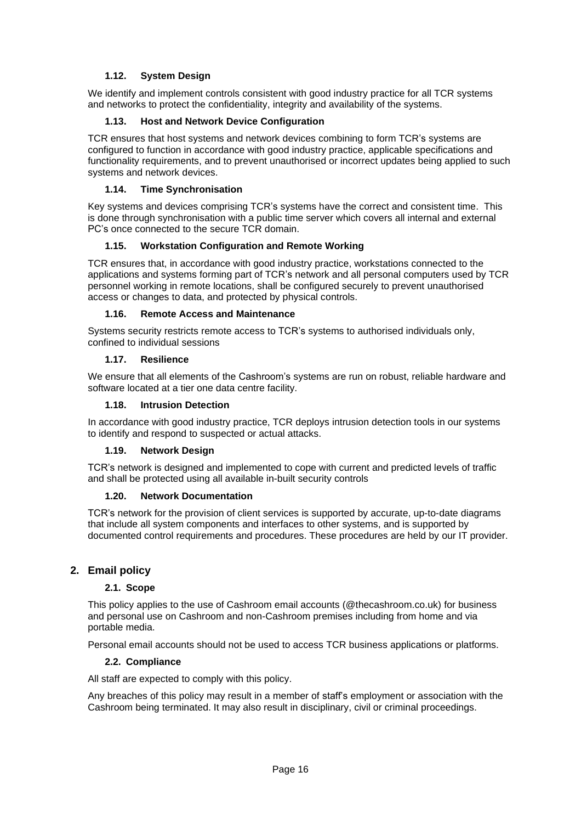# **1.12. System Design**

We identify and implement controls consistent with good industry practice for all TCR systems and networks to protect the confidentiality, integrity and availability of the systems.

## **1.13. Host and Network Device Configuration**

<span id="page-15-0"></span>TCR ensures that host systems and network devices combining to form TCR's systems are configured to function in accordance with good industry practice, applicable specifications and functionality requirements, and to prevent unauthorised or incorrect updates being applied to such systems and network devices.

## **1.14. Time Synchronisation**

<span id="page-15-1"></span>Key systems and devices comprising TCR's systems have the correct and consistent time. This is done through synchronisation with a public time server which covers all internal and external PC's once connected to the secure TCR domain.

# **1.15. Workstation Configuration and Remote Working**

<span id="page-15-2"></span>TCR ensures that, in accordance with good industry practice, workstations connected to the applications and systems forming part of TCR's network and all personal computers used by TCR personnel working in remote locations, shall be configured securely to prevent unauthorised access or changes to data, and protected by physical controls.

## **1.16. Remote Access and Maintenance**

<span id="page-15-3"></span>Systems security restricts remote access to TCR's systems to authorised individuals only, confined to individual sessions

## **1.17. Resilience**

<span id="page-15-4"></span>We ensure that all elements of the Cashroom's systems are run on robust, reliable hardware and software located at a tier one data centre facility.

## **1.18. Intrusion Detection**

<span id="page-15-5"></span>In accordance with good industry practice, TCR deploys intrusion detection tools in our systems to identify and respond to suspected or actual attacks.

## **1.19. Network Design**

<span id="page-15-6"></span>TCR's network is designed and implemented to cope with current and predicted levels of traffic and shall be protected using all available in-built security controls

## **1.20. Network Documentation**

<span id="page-15-7"></span>TCR's network for the provision of client services is supported by accurate, up-to-date diagrams that include all system components and interfaces to other systems, and is supported by documented control requirements and procedures. These procedures are held by our IT provider.

# <span id="page-15-9"></span><span id="page-15-8"></span>**2. Email policy**

## **2.1. Scope**

This policy applies to the use of Cashroom email accounts (@thecashroom.co.uk) for business and personal use on Cashroom and non-Cashroom premises including from home and via portable media.

Personal email accounts should not be used to access TCR business applications or platforms.

#### **2.2. Compliance**

<span id="page-15-10"></span>All staff are expected to comply with this policy.

<span id="page-15-11"></span>Any breaches of this policy may result in a member of staff's employment or association with the Cashroom being terminated. It may also result in disciplinary, civil or criminal proceedings.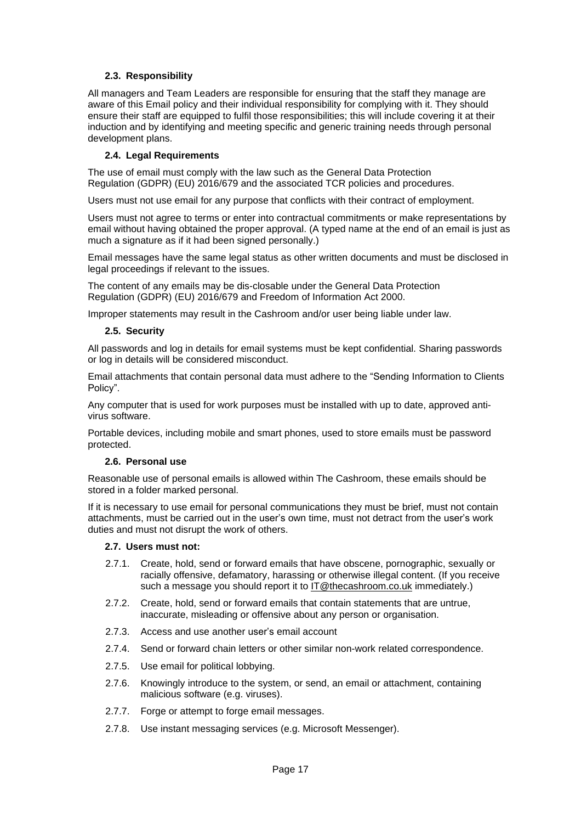# **2.3. Responsibility**

All managers and Team Leaders are responsible for ensuring that the staff they manage are aware of this Email policy and their individual responsibility for complying with it. They should ensure their staff are equipped to fulfil those responsibilities; this will include covering it at their induction and by identifying and meeting specific and generic training needs through personal development plans.

#### **2.4. Legal Requirements**

<span id="page-16-0"></span>The use of email must comply with the law such as the General Data Protection Regulation (GDPR) (EU) 2016/679 and the associated TCR policies and procedures.

Users must not use email for any purpose that conflicts with their contract of employment.

Users must not agree to terms or enter into contractual commitments or make representations by email without having obtained the proper approval. (A typed name at the end of an email is just as much a signature as if it had been signed personally.)

Email messages have the same legal status as other written documents and must be disclosed in legal proceedings if relevant to the issues.

The content of any emails may be dis-closable under the General Data Protection Regulation (GDPR) (EU) 2016/679 and Freedom of Information Act 2000.

<span id="page-16-1"></span>Improper statements may result in the Cashroom and/or user being liable under law.

#### **2.5. Security**

All passwords and log in details for email systems must be kept confidential. Sharing passwords or log in details will be considered misconduct.

Email attachments that contain personal data must adhere to the "Sending Information to Clients Policy".

Any computer that is used for work purposes must be installed with up to date, approved antivirus software.

Portable devices, including mobile and smart phones, used to store emails must be password protected.

#### **2.6. Personal use**

<span id="page-16-2"></span>Reasonable use of personal emails is allowed within The Cashroom, these emails should be stored in a folder marked personal.

If it is necessary to use email for personal communications they must be brief, must not contain attachments, must be carried out in the user's own time, must not detract from the user's work duties and must not disrupt the work of others.

#### <span id="page-16-3"></span>**2.7. Users must not:**

- 2.7.1. Create, hold, send or forward emails that have obscene, pornographic, sexually or racially offensive, defamatory, harassing or otherwise illegal content. (If you receive such a message you should report it to [IT@thecashroom.co.uk](mailto:IT@thecashroom.co.uk) immediately.)
- 2.7.2. Create, hold, send or forward emails that contain statements that are untrue, inaccurate, misleading or offensive about any person or organisation.
- 2.7.3. Access and use another user's email account
- 2.7.4. Send or forward chain letters or other similar non-work related correspondence.
- 2.7.5. Use email for political lobbying.
- 2.7.6. Knowingly introduce to the system, or send, an email or attachment, containing malicious software (e.g. viruses).
- 2.7.7. Forge or attempt to forge email messages.
- 2.7.8. Use instant messaging services (e.g. Microsoft Messenger).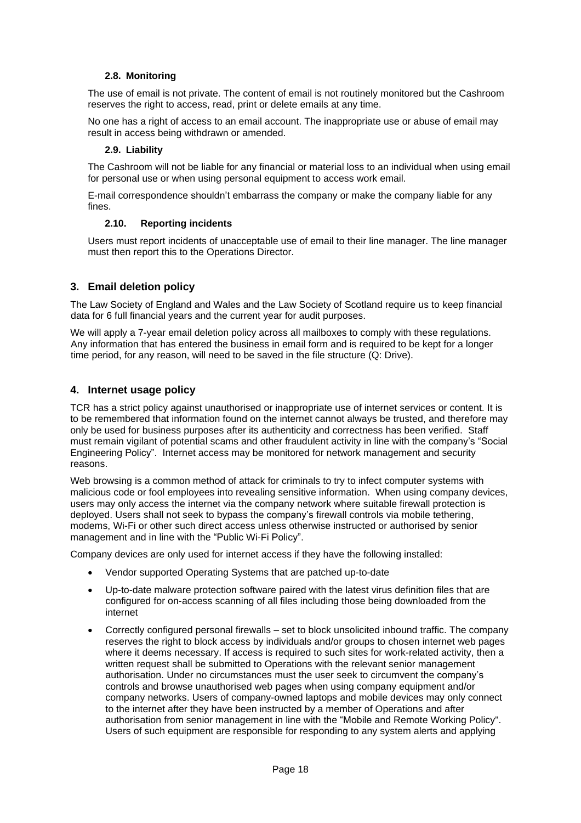# <span id="page-17-0"></span>**2.8. Monitoring**

The use of email is not private. The content of email is not routinely monitored but the Cashroom reserves the right to access, read, print or delete emails at any time.

No one has a right of access to an email account. The inappropriate use or abuse of email may result in access being withdrawn or amended.

#### **2.9. Liability**

<span id="page-17-1"></span>The Cashroom will not be liable for any financial or material loss to an individual when using email for personal use or when using personal equipment to access work email.

E-mail correspondence shouldn't embarrass the company or make the company liable for any fines.

#### **2.10. Reporting incidents**

<span id="page-17-2"></span>Users must report incidents of unacceptable use of email to their line manager. The line manager must then report this to the Operations Director.

## <span id="page-17-3"></span>**3. Email deletion policy**

The Law Society of England and Wales and the Law Society of Scotland require us to keep financial data for 6 full financial years and the current year for audit purposes.

We will apply a 7-year email deletion policy across all mailboxes to comply with these regulations. Any information that has entered the business in email form and is required to be kept for a longer time period, for any reason, will need to be saved in the file structure (Q: Drive).

## <span id="page-17-4"></span>**4. Internet usage policy**

TCR has a strict policy against unauthorised or inappropriate use of internet services or content. It is to be remembered that information found on the internet cannot always be trusted, and therefore may only be used for business purposes after its authenticity and correctness has been verified. Staff must remain vigilant of potential scams and other fraudulent activity in line with the company's "Social Engineering Policy". Internet access may be monitored for network management and security reasons.

Web browsing is a common method of attack for criminals to try to infect computer systems with malicious code or fool employees into revealing sensitive information. When using company devices, users may only access the internet via the company network where suitable firewall protection is deployed. Users shall not seek to bypass the company's firewall controls via mobile tethering, modems, Wi-Fi or other such direct access unless otherwise instructed or authorised by senior management and in line with the "Public Wi-Fi Policy".

Company devices are only used for internet access if they have the following installed:

- Vendor supported Operating Systems that are patched up-to-date
- Up-to-date malware protection software paired with the latest virus definition files that are configured for on-access scanning of all files including those being downloaded from the internet
- Correctly configured personal firewalls set to block unsolicited inbound traffic. The company reserves the right to block access by individuals and/or groups to chosen internet web pages where it deems necessary. If access is required to such sites for work-related activity, then a written request shall be submitted to Operations with the relevant senior management authorisation. Under no circumstances must the user seek to circumvent the company's controls and browse unauthorised web pages when using company equipment and/or company networks. Users of company-owned laptops and mobile devices may only connect to the internet after they have been instructed by a member of Operations and after authorisation from senior management in line with the "Mobile and Remote Working Policy". Users of such equipment are responsible for responding to any system alerts and applying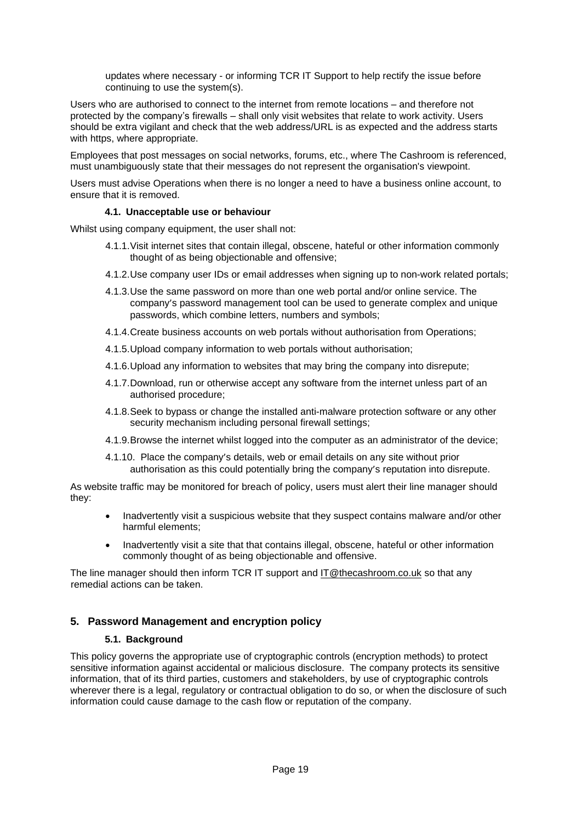updates where necessary - or informing TCR IT Support to help rectify the issue before continuing to use the system(s).

Users who are authorised to connect to the internet from remote locations – and therefore not protected by the company's firewalls – shall only visit websites that relate to work activity. Users should be extra vigilant and check that the web address/URL is as expected and the address starts with https, where appropriate.

Employees that post messages on social networks, forums, etc., where The Cashroom is referenced, must unambiguously state that their messages do not represent the organisation's viewpoint.

Users must advise Operations when there is no longer a need to have a business online account, to ensure that it is removed.

#### **4.1. Unacceptable use or behaviour**

<span id="page-18-0"></span>Whilst using company equipment, the user shall not:

- 4.1.1.Visit internet sites that contain illegal, obscene, hateful or other information commonly thought of as being objectionable and offensive;
- 4.1.2.Use company user IDs or email addresses when signing up to non-work related portals;
- 4.1.3.Use the same password on more than one web portal and/or online service. The company's password management tool can be used to generate complex and unique passwords, which combine letters, numbers and symbols;
- 4.1.4.Create business accounts on web portals without authorisation from Operations;
- 4.1.5.Upload company information to web portals without authorisation;
- 4.1.6.Upload any information to websites that may bring the company into disrepute;
- 4.1.7.Download, run or otherwise accept any software from the internet unless part of an authorised procedure;
- 4.1.8.Seek to bypass or change the installed anti-malware protection software or any other security mechanism including personal firewall settings;
- 4.1.9.Browse the internet whilst logged into the computer as an administrator of the device;
- 4.1.10. Place the company's details, web or email details on any site without prior authorisation as this could potentially bring the company's reputation into disrepute.

As website traffic may be monitored for breach of policy, users must alert their line manager should they:

- Inadvertently visit a suspicious website that they suspect contains malware and/or other harmful elements;
- Inadvertently visit a site that that contains illegal, obscene, hateful or other information commonly thought of as being objectionable and offensive.

The line manager should then inform TCR IT support and [IT@thecashroom.co.uk](mailto:IT@thecashroom.co.uk) so that any remedial actions can be taken.

# <span id="page-18-1"></span>**5. Password Management and encryption policy**

## **5.1. Background**

<span id="page-18-3"></span><span id="page-18-2"></span>This policy governs the appropriate use of cryptographic controls (encryption methods) to protect sensitive information against accidental or malicious disclosure. The company protects its sensitive information, that of its third parties, customers and stakeholders, by use of cryptographic controls wherever there is a legal, regulatory or contractual obligation to do so, or when the disclosure of such information could cause damage to the cash flow or reputation of the company.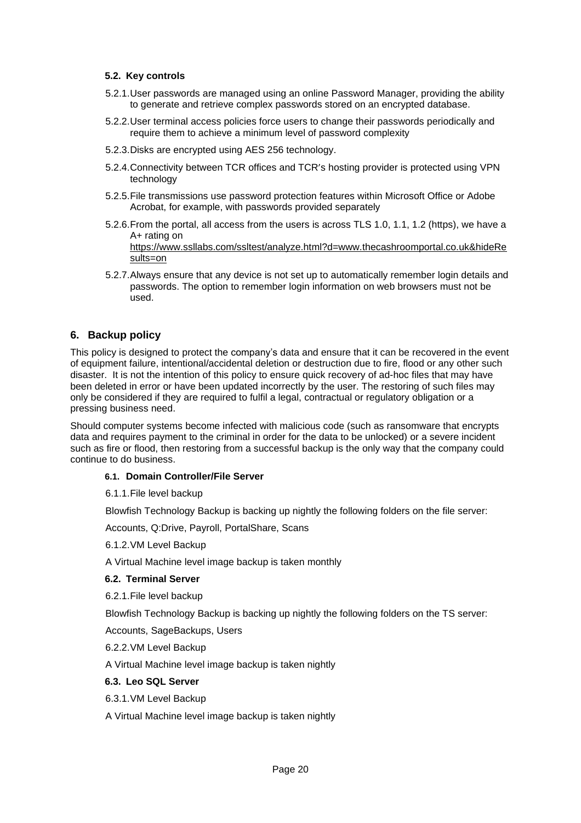#### **5.2. Key controls**

- 5.2.1.User passwords are managed using an online Password Manager, providing the ability to generate and retrieve complex passwords stored on an encrypted database.
- 5.2.2.User terminal access policies force users to change their passwords periodically and require them to achieve a minimum level of password complexity
- 5.2.3.Disks are encrypted using AES 256 technology.
- 5.2.4.Connectivity between TCR offices and TCR's hosting provider is protected using VPN technology
- 5.2.5.File transmissions use password protection features within Microsoft Office or Adobe Acrobat, for example, with passwords provided separately
- 5.2.6.From the portal, all access from the users is across TLS 1.0, 1.1, 1.2 (https), we have a A+ rating on

[https://www.ssllabs.com/ssltest/analyze.html?d=www.thecashroomportal.co.uk&hideRe](https://www.ssllabs.com/ssltest/analyze.html?d=www.thecashroomportal.co.uk&hideResults=on) [sults=on](https://www.ssllabs.com/ssltest/analyze.html?d=www.thecashroomportal.co.uk&hideResults=on)

5.2.7.Always ensure that any device is not set up to automatically remember login details and passwords. The option to remember login information on web browsers must not be used.

# <span id="page-19-0"></span>**6. Backup policy**

This policy is designed to protect the company's data and ensure that it can be recovered in the event of equipment failure, intentional/accidental deletion or destruction due to fire, flood or any other such disaster. It is not the intention of this policy to ensure quick recovery of ad-hoc files that may have been deleted in error or have been updated incorrectly by the user. The restoring of such files may only be considered if they are required to fulfil a legal, contractual or regulatory obligation or a pressing business need.

Should computer systems become infected with malicious code (such as ransomware that encrypts data and requires payment to the criminal in order for the data to be unlocked) or a severe incident such as fire or flood, then restoring from a successful backup is the only way that the company could continue to do business.

#### <span id="page-19-1"></span>**6.1. Domain Controller/File Server**

6.1.1.File level backup

Blowfish Technology Backup is backing up nightly the following folders on the file server:

Accounts, Q:Drive, Payroll, PortalShare, Scans

6.1.2.VM Level Backup

A Virtual Machine level image backup is taken monthly

## <span id="page-19-2"></span>**6.2. Terminal Server**

6.2.1.File level backup

Blowfish Technology Backup is backing up nightly the following folders on the TS server:

Accounts, SageBackups, Users

6.2.2.VM Level Backup

A Virtual Machine level image backup is taken nightly

## <span id="page-19-3"></span>**6.3. Leo SQL Server**

6.3.1.VM Level Backup

<span id="page-19-4"></span>A Virtual Machine level image backup is taken nightly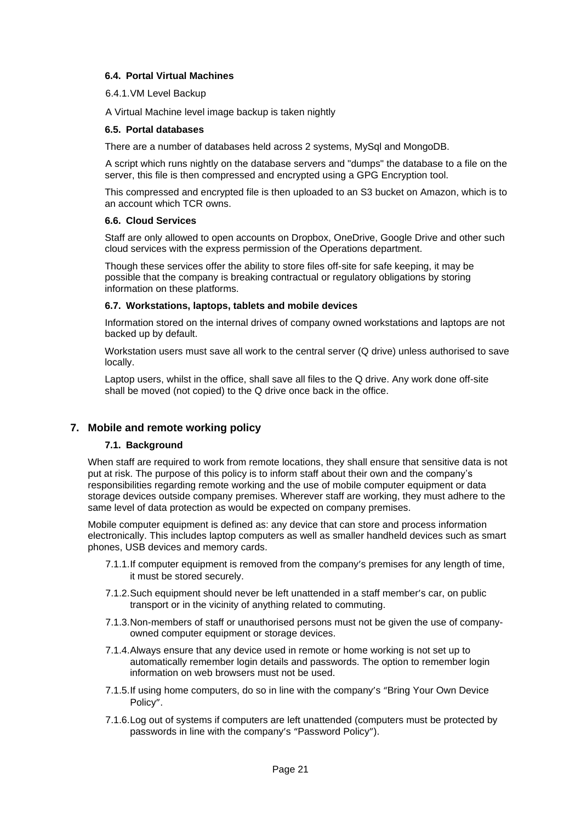## **6.4. Portal Virtual Machines**

6.4.1.VM Level Backup

A Virtual Machine level image backup is taken nightly

#### <span id="page-20-0"></span>**6.5. Portal databases**

There are a number of databases held across 2 systems, MySql and MongoDB.

A script which runs nightly on the database servers and "dumps" the database to a file on the server, this file is then compressed and encrypted using a GPG Encryption tool.

This compressed and encrypted file is then uploaded to an S3 bucket on Amazon, which is to an account which TCR owns.

# <span id="page-20-1"></span>**6.6. Cloud Services**

Staff are only allowed to open accounts on Dropbox, OneDrive, Google Drive and other such cloud services with the express permission of the Operations department.

Though these services offer the ability to store files off-site for safe keeping, it may be possible that the company is breaking contractual or regulatory obligations by storing information on these platforms.

#### <span id="page-20-2"></span>**6.7. Workstations, laptops, tablets and mobile devices**

Information stored on the internal drives of company owned workstations and laptops are not backed up by default.

Workstation users must save all work to the central server (Q drive) unless authorised to save locally.

Laptop users, whilst in the office, shall save all files to the Q drive. Any work done off-site shall be moved (not copied) to the Q drive once back in the office.

# <span id="page-20-4"></span><span id="page-20-3"></span>**7. Mobile and remote working policy**

# **7.1. Background**

When staff are required to work from remote locations, they shall ensure that sensitive data is not put at risk. The purpose of this policy is to inform staff about their own and the company's responsibilities regarding remote working and the use of mobile computer equipment or data storage devices outside company premises. Wherever staff are working, they must adhere to the same level of data protection as would be expected on company premises.

Mobile computer equipment is defined as: any device that can store and process information electronically. This includes laptop computers as well as smaller handheld devices such as smart phones, USB devices and memory cards.

- 7.1.1.If computer equipment is removed from the company's premises for any length of time, it must be stored securely.
- 7.1.2.Such equipment should never be left unattended in a staff member's car, on public transport or in the vicinity of anything related to commuting.
- 7.1.3.Non-members of staff or unauthorised persons must not be given the use of companyowned computer equipment or storage devices.
- 7.1.4.Always ensure that any device used in remote or home working is not set up to automatically remember login details and passwords. The option to remember login information on web browsers must not be used.
- 7.1.5.If using home computers, do so in line with the company's "Bring Your Own Device Policy".
- 7.1.6.Log out of systems if computers are left unattended (computers must be protected by passwords in line with the company's "Password Policy").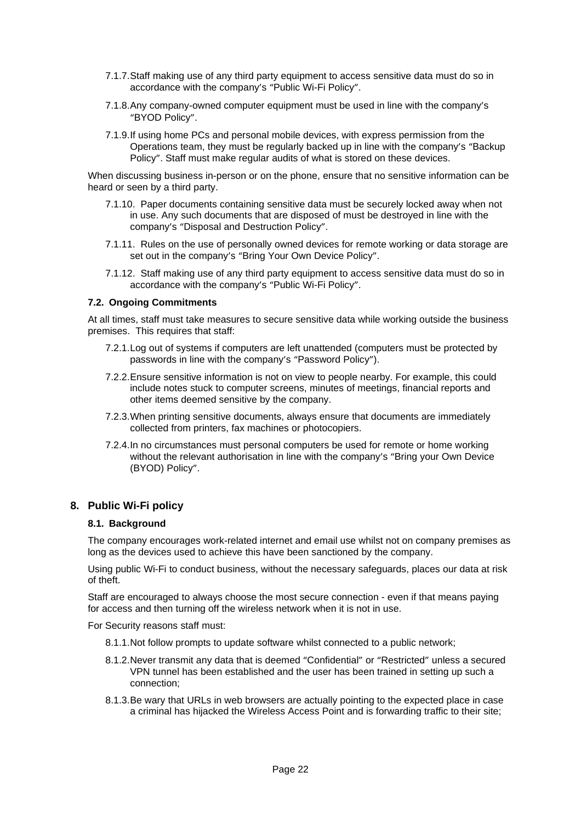- 7.1.7.Staff making use of any third party equipment to access sensitive data must do so in accordance with the company's "Public Wi-Fi Policy".
- 7.1.8.Any company-owned computer equipment must be used in line with the company's "BYOD Policy".
- 7.1.9.If using home PCs and personal mobile devices, with express permission from the Operations team, they must be regularly backed up in line with the company's "Backup Policy". Staff must make regular audits of what is stored on these devices.

When discussing business in-person or on the phone, ensure that no sensitive information can be heard or seen by a third party.

- 7.1.10. Paper documents containing sensitive data must be securely locked away when not in use. Any such documents that are disposed of must be destroyed in line with the company's "Disposal and Destruction Policy".
- 7.1.11. Rules on the use of personally owned devices for remote working or data storage are set out in the company's "Bring Your Own Device Policy".
- 7.1.12. Staff making use of any third party equipment to access sensitive data must do so in accordance with the company's "Public Wi-Fi Policy".

#### <span id="page-21-0"></span>**7.2. Ongoing Commitments**

At all times, staff must take measures to secure sensitive data while working outside the business premises. This requires that staff:

- 7.2.1.Log out of systems if computers are left unattended (computers must be protected by passwords in line with the company's "Password Policy").
- 7.2.2.Ensure sensitive information is not on view to people nearby. For example, this could include notes stuck to computer screens, minutes of meetings, financial reports and other items deemed sensitive by the company.
- 7.2.3.When printing sensitive documents, always ensure that documents are immediately collected from printers, fax machines or photocopiers.
- 7.2.4.In no circumstances must personal computers be used for remote or home working without the relevant authorisation in line with the company's "Bring your Own Device (BYOD) Policy".

## <span id="page-21-1"></span>**8. Public Wi-Fi policy**

#### <span id="page-21-2"></span>**8.1. Background**

The company encourages work-related internet and email use whilst not on company premises as long as the devices used to achieve this have been sanctioned by the company.

Using public Wi-Fi to conduct business, without the necessary safeguards, places our data at risk of theft.

Staff are encouraged to always choose the most secure connection - even if that means paying for access and then turning off the wireless network when it is not in use.

For Security reasons staff must:

- 8.1.1.Not follow prompts to update software whilst connected to a public network;
- 8.1.2.Never transmit any data that is deemed "Confidential" or "Restricted" unless a secured VPN tunnel has been established and the user has been trained in setting up such a connection;
- 8.1.3.Be wary that URLs in web browsers are actually pointing to the expected place in case a criminal has hijacked the Wireless Access Point and is forwarding traffic to their site;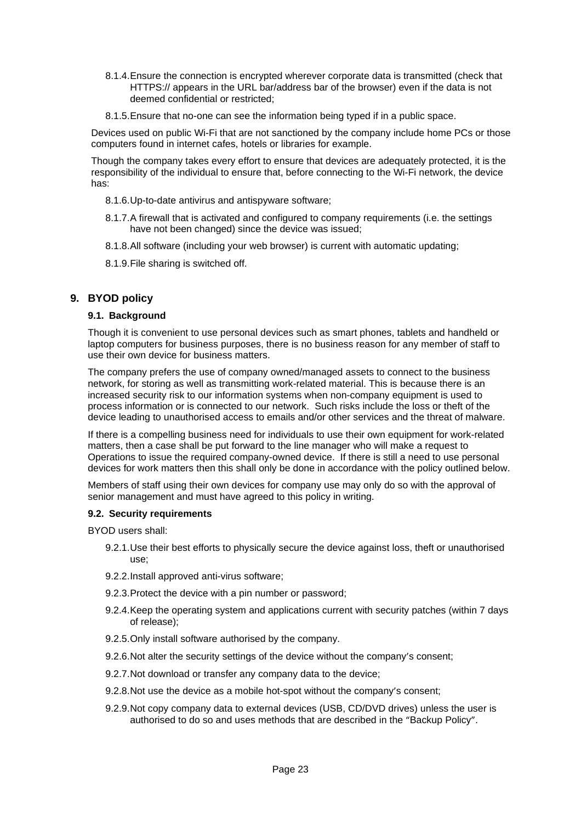- 8.1.4.Ensure the connection is encrypted wherever corporate data is transmitted (check that HTTPS:// appears in the URL bar/address bar of the browser) even if the data is not deemed confidential or restricted;
- 8.1.5.Ensure that no-one can see the information being typed if in a public space.

Devices used on public Wi-Fi that are not sanctioned by the company include home PCs or those computers found in internet cafes, hotels or libraries for example.

Though the company takes every effort to ensure that devices are adequately protected, it is the responsibility of the individual to ensure that, before connecting to the Wi-Fi network, the device has:

- 8.1.6.Up-to-date antivirus and antispyware software;
- 8.1.7.A firewall that is activated and configured to company requirements (i.e. the settings have not been changed) since the device was issued;
- 8.1.8.All software (including your web browser) is current with automatic updating;
- 8.1.9.File sharing is switched off.

# <span id="page-22-0"></span>**9. BYOD policy**

#### <span id="page-22-1"></span>**9.1. Background**

Though it is convenient to use personal devices such as smart phones, tablets and handheld or laptop computers for business purposes, there is no business reason for any member of staff to use their own device for business matters.

The company prefers the use of company owned/managed assets to connect to the business network, for storing as well as transmitting work-related material. This is because there is an increased security risk to our information systems when non-company equipment is used to process information or is connected to our network. Such risks include the loss or theft of the device leading to unauthorised access to emails and/or other services and the threat of malware.

If there is a compelling business need for individuals to use their own equipment for work-related matters, then a case shall be put forward to the line manager who will make a request to Operations to issue the required company-owned device. If there is still a need to use personal devices for work matters then this shall only be done in accordance with the policy outlined below.

Members of staff using their own devices for company use may only do so with the approval of senior management and must have agreed to this policy in writing.

## <span id="page-22-2"></span>**9.2. Security requirements**

BYOD users shall:

- 9.2.1.Use their best efforts to physically secure the device against loss, theft or unauthorised use;
- 9.2.2.Install approved anti-virus software;
- 9.2.3.Protect the device with a pin number or password;
- 9.2.4.Keep the operating system and applications current with security patches (within 7 days of release);
- 9.2.5.Only install software authorised by the company.
- 9.2.6.Not alter the security settings of the device without the company's consent;
- 9.2.7.Not download or transfer any company data to the device;
- 9.2.8.Not use the device as a mobile hot-spot without the company's consent;
- 9.2.9.Not copy company data to external devices (USB, CD/DVD drives) unless the user is authorised to do so and uses methods that are described in the "Backup Policy".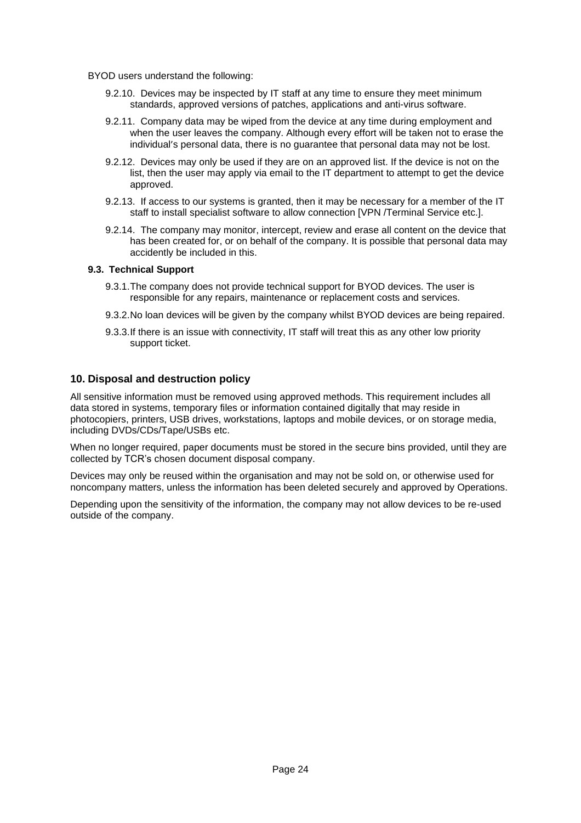- BYOD users understand the following:
	- 9.2.10. Devices may be inspected by IT staff at any time to ensure they meet minimum standards, approved versions of patches, applications and anti-virus software.
	- 9.2.11. Company data may be wiped from the device at any time during employment and when the user leaves the company. Although every effort will be taken not to erase the individual's personal data, there is no guarantee that personal data may not be lost.
	- 9.2.12. Devices may only be used if they are on an approved list. If the device is not on the list, then the user may apply via email to the IT department to attempt to get the device approved.
	- 9.2.13. If access to our systems is granted, then it may be necessary for a member of the IT staff to install specialist software to allow connection [VPN /Terminal Service etc.].
	- 9.2.14. The company may monitor, intercept, review and erase all content on the device that has been created for, or on behalf of the company. It is possible that personal data may accidently be included in this.

## <span id="page-23-0"></span>**9.3. Technical Support**

- 9.3.1.The company does not provide technical support for BYOD devices. The user is responsible for any repairs, maintenance or replacement costs and services.
- 9.3.2.No loan devices will be given by the company whilst BYOD devices are being repaired.
- 9.3.3.If there is an issue with connectivity, IT staff will treat this as any other low priority support ticket.

# <span id="page-23-1"></span>**10. Disposal and destruction policy**

All sensitive information must be removed using approved methods. This requirement includes all data stored in systems, temporary files or information contained digitally that may reside in photocopiers, printers, USB drives, workstations, laptops and mobile devices, or on storage media, including DVDs/CDs/Tape/USBs etc.

When no longer required, paper documents must be stored in the secure bins provided, until they are collected by TCR's chosen document disposal company.

Devices may only be reused within the organisation and may not be sold on, or otherwise used for noncompany matters, unless the information has been deleted securely and approved by Operations.

Depending upon the sensitivity of the information, the company may not allow devices to be re-used outside of the company.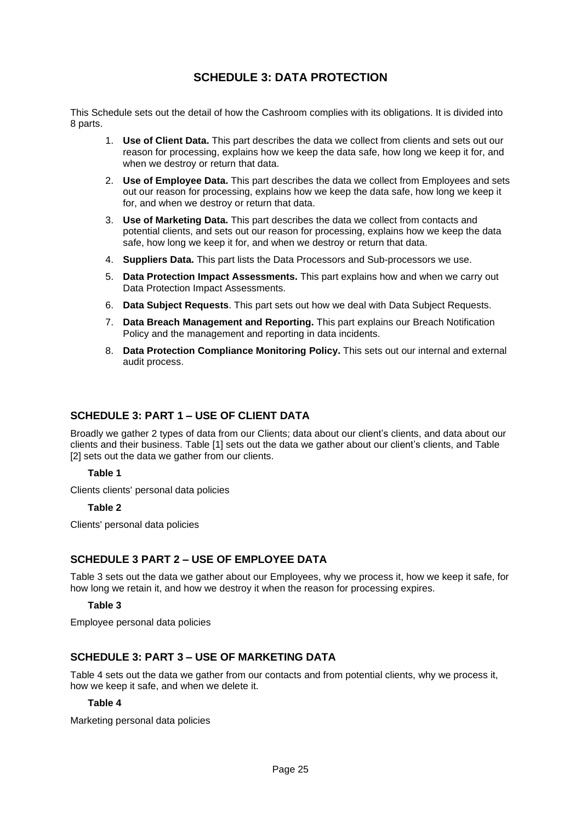# **SCHEDULE 3: DATA PROTECTION**

<span id="page-24-0"></span>This Schedule sets out the detail of how the Cashroom complies with its obligations. It is divided into 8 parts.

- 1. **Use of Client Data.** This part describes the data we collect from clients and sets out our reason for processing, explains how we keep the data safe, how long we keep it for, and when we destroy or return that data.
- 2. **Use of Employee Data.** This part describes the data we collect from Employees and sets out our reason for processing, explains how we keep the data safe, how long we keep it for, and when we destroy or return that data.
- 3. **Use of Marketing Data.** This part describes the data we collect from contacts and potential clients, and sets out our reason for processing, explains how we keep the data safe, how long we keep it for, and when we destroy or return that data.
- 4. **Suppliers Data.** This part lists the Data Processors and Sub-processors we use.
- 5. **Data Protection Impact Assessments.** This part explains how and when we carry out Data Protection Impact Assessments.
- 6. **Data Subject Requests**. This part sets out how we deal with Data Subject Requests.
- 7. **Data Breach Management and Reporting.** This part explains our Breach Notification Policy and the management and reporting in data incidents.
- 8. **Data Protection Compliance Monitoring Policy.** This sets out our internal and external audit process.

# <span id="page-24-1"></span>**SCHEDULE 3: PART 1 – USE OF CLIENT DATA**

Broadly we gather 2 types of data from our Clients; data about our client's clients, and data about our clients and their business. Table [1] sets out the data we gather about our client's clients, and Table [2] sets out the data we gather from our clients.

## **Table 1**

<span id="page-24-2"></span>Clients clients' personal data policies

## **Table 2**

<span id="page-24-3"></span>Clients' personal data policies

# <span id="page-24-4"></span>**SCHEDULE 3 PART 2 – USE OF EMPLOYEE DATA**

Table 3 sets out the data we gather about our Employees, why we process it, how we keep it safe, for how long we retain it, and how we destroy it when the reason for processing expires.

## **Table 3**

<span id="page-24-5"></span>Employee personal data policies

# <span id="page-24-6"></span>**SCHEDULE 3: PART 3 – USE OF MARKETING DATA**

Table 4 sets out the data we gather from our contacts and from potential clients, why we process it, how we keep it safe, and when we delete it.

# **Table 4**

<span id="page-24-7"></span>Marketing personal data policies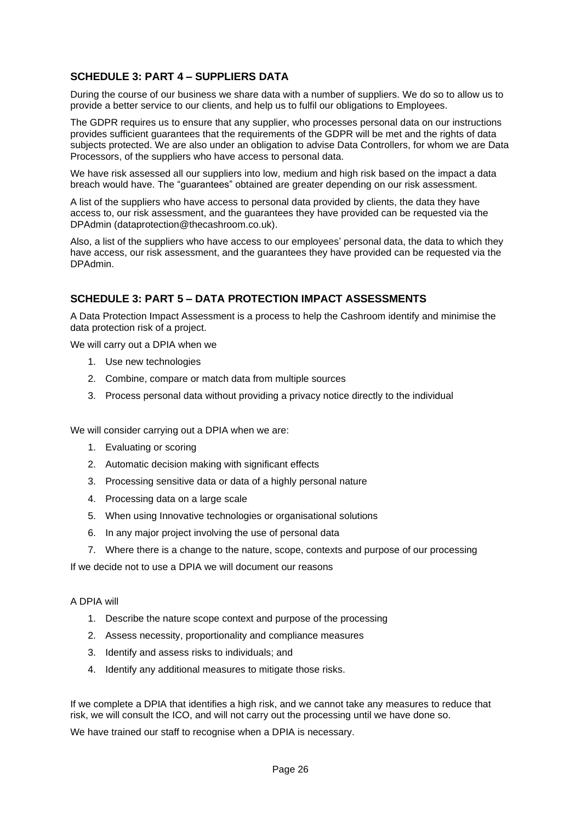# <span id="page-25-0"></span>**SCHEDULE 3: PART 4 – SUPPLIERS DATA**

During the course of our business we share data with a number of suppliers. We do so to allow us to provide a better service to our clients, and help us to fulfil our obligations to Employees.

The GDPR requires us to ensure that any supplier, who processes personal data on our instructions provides sufficient guarantees that the requirements of the GDPR will be met and the rights of data subjects protected. We are also under an obligation to advise Data Controllers, for whom we are Data Processors, of the suppliers who have access to personal data.

We have risk assessed all our suppliers into low, medium and high risk based on the impact a data breach would have. The "guarantees" obtained are greater depending on our risk assessment.

A list of the suppliers who have access to personal data provided by clients, the data they have access to, our risk assessment, and the guarantees they have provided can be requested via the DPAdmin (dataprotection@thecashroom.co.uk).

Also, a list of the suppliers who have access to our employees' personal data, the data to which they have access, our risk assessment, and the guarantees they have provided can be requested via the DPAdmin.

# <span id="page-25-1"></span>**SCHEDULE 3: PART 5 – DATA PROTECTION IMPACT ASSESSMENTS**

A Data Protection Impact Assessment is a process to help the Cashroom identify and minimise the data protection risk of a project.

We will carry out a DPIA when we

- 1. Use new technologies
- 2. Combine, compare or match data from multiple sources
- 3. Process personal data without providing a privacy notice directly to the individual

We will consider carrying out a DPIA when we are:

- 1. Evaluating or scoring
- 2. Automatic decision making with significant effects
- 3. Processing sensitive data or data of a highly personal nature
- 4. Processing data on a large scale
- 5. When using Innovative technologies or organisational solutions
- 6. In any major project involving the use of personal data
- 7. Where there is a change to the nature, scope, contexts and purpose of our processing

If we decide not to use a DPIA we will document our reasons

#### A DPIA will

- 1. Describe the nature scope context and purpose of the processing
- 2. Assess necessity, proportionality and compliance measures
- 3. Identify and assess risks to individuals; and
- 4. Identify any additional measures to mitigate those risks.

If we complete a DPIA that identifies a high risk, and we cannot take any measures to reduce that risk, we will consult the ICO, and will not carry out the processing until we have done so.

We have trained our staff to recognise when a DPIA is necessary.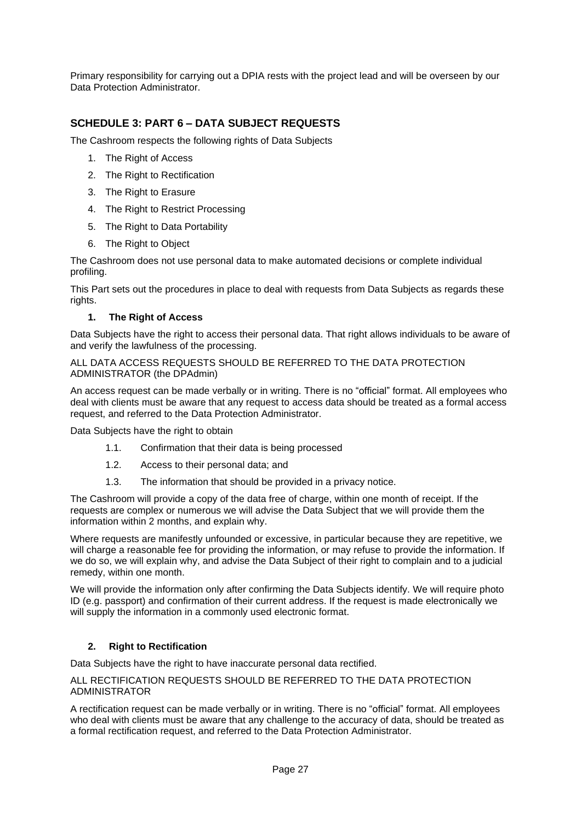Primary responsibility for carrying out a DPIA rests with the project lead and will be overseen by our Data Protection Administrator.

# <span id="page-26-0"></span>**SCHEDULE 3: PART 6 – DATA SUBJECT REQUESTS**

The Cashroom respects the following rights of Data Subjects

- 1. The Right of Access
- 2. The Right to Rectification
- 3. The Right to Erasure
- 4. The Right to Restrict Processing
- 5. The Right to Data Portability
- 6. The Right to Object

The Cashroom does not use personal data to make automated decisions or complete individual profiling.

This Part sets out the procedures in place to deal with requests from Data Subjects as regards these rights.

## **1. The Right of Access**

<span id="page-26-1"></span>Data Subjects have the right to access their personal data. That right allows individuals to be aware of and verify the lawfulness of the processing.

#### ALL DATA ACCESS REQUESTS SHOULD BE REFERRED TO THE DATA PROTECTION ADMINISTRATOR (the DPAdmin)

An access request can be made verbally or in writing. There is no "official" format. All employees who deal with clients must be aware that any request to access data should be treated as a formal access request, and referred to the Data Protection Administrator.

Data Subjects have the right to obtain

- 1.1. Confirmation that their data is being processed
- 1.2. Access to their personal data; and
- 1.3. The information that should be provided in a privacy notice.

The Cashroom will provide a copy of the data free of charge, within one month of receipt. If the requests are complex or numerous we will advise the Data Subject that we will provide them the information within 2 months, and explain why.

Where requests are manifestly unfounded or excessive, in particular because they are repetitive, we will charge a reasonable fee for providing the information, or may refuse to provide the information. If we do so, we will explain why, and advise the Data Subject of their right to complain and to a judicial remedy, within one month.

We will provide the information only after confirming the Data Subjects identify. We will require photo ID (e.g. passport) and confirmation of their current address. If the request is made electronically we will supply the information in a commonly used electronic format.

## **2. Right to Rectification**

<span id="page-26-2"></span>Data Subjects have the right to have inaccurate personal data rectified.

#### ALL RECTIFICATION REQUESTS SHOULD BE REFERRED TO THE DATA PROTECTION ADMINISTRATOR

A rectification request can be made verbally or in writing. There is no "official" format. All employees who deal with clients must be aware that any challenge to the accuracy of data, should be treated as a formal rectification request, and referred to the Data Protection Administrator.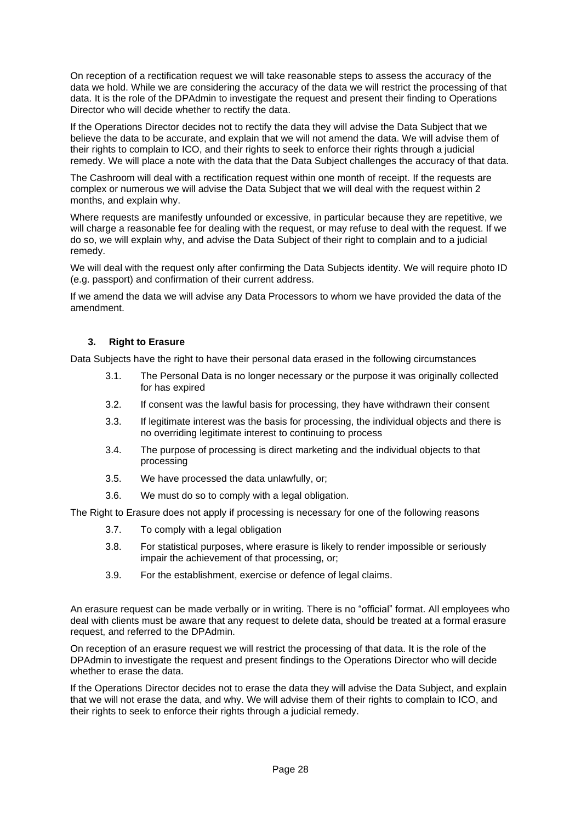On reception of a rectification request we will take reasonable steps to assess the accuracy of the data we hold. While we are considering the accuracy of the data we will restrict the processing of that data. It is the role of the DPAdmin to investigate the request and present their finding to Operations Director who will decide whether to rectify the data.

If the Operations Director decides not to rectify the data they will advise the Data Subject that we believe the data to be accurate, and explain that we will not amend the data. We will advise them of their rights to complain to ICO, and their rights to seek to enforce their rights through a judicial remedy. We will place a note with the data that the Data Subject challenges the accuracy of that data.

The Cashroom will deal with a rectification request within one month of receipt. If the requests are complex or numerous we will advise the Data Subject that we will deal with the request within 2 months, and explain why.

Where requests are manifestly unfounded or excessive, in particular because they are repetitive, we will charge a reasonable fee for dealing with the request, or may refuse to deal with the request. If we do so, we will explain why, and advise the Data Subject of their right to complain and to a judicial remedy.

We will deal with the request only after confirming the Data Subjects identity. We will require photo ID (e.g. passport) and confirmation of their current address.

If we amend the data we will advise any Data Processors to whom we have provided the data of the amendment.

## **3. Right to Erasure**

<span id="page-27-0"></span>Data Subjects have the right to have their personal data erased in the following circumstances

- 3.1. The Personal Data is no longer necessary or the purpose it was originally collected for has expired
- 3.2. If consent was the lawful basis for processing, they have withdrawn their consent
- 3.3. If legitimate interest was the basis for processing, the individual objects and there is no overriding legitimate interest to continuing to process
- 3.4. The purpose of processing is direct marketing and the individual objects to that processing
- 3.5. We have processed the data unlawfully, or;
- 3.6. We must do so to comply with a legal obligation.

The Right to Erasure does not apply if processing is necessary for one of the following reasons

- 3.7. To comply with a legal obligation
- 3.8. For statistical purposes, where erasure is likely to render impossible or seriously impair the achievement of that processing, or;
- 3.9. For the establishment, exercise or defence of legal claims.

An erasure request can be made verbally or in writing. There is no "official" format. All employees who deal with clients must be aware that any request to delete data, should be treated at a formal erasure request, and referred to the DPAdmin.

On reception of an erasure request we will restrict the processing of that data. It is the role of the DPAdmin to investigate the request and present findings to the Operations Director who will decide whether to erase the data.

If the Operations Director decides not to erase the data they will advise the Data Subject, and explain that we will not erase the data, and why. We will advise them of their rights to complain to ICO, and their rights to seek to enforce their rights through a judicial remedy.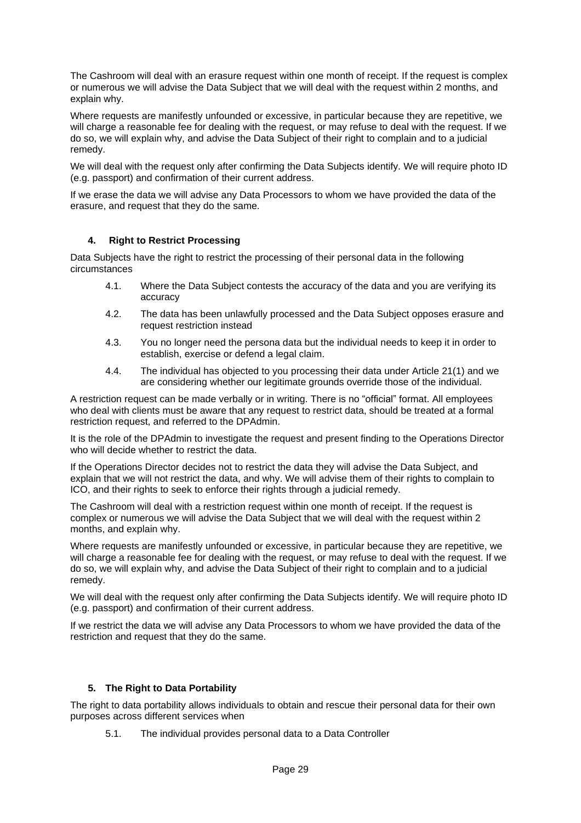The Cashroom will deal with an erasure request within one month of receipt. If the request is complex or numerous we will advise the Data Subject that we will deal with the request within 2 months, and explain why.

Where requests are manifestly unfounded or excessive, in particular because they are repetitive, we will charge a reasonable fee for dealing with the request, or may refuse to deal with the request. If we do so, we will explain why, and advise the Data Subject of their right to complain and to a judicial remedy.

We will deal with the request only after confirming the Data Subjects identify. We will require photo ID (e.g. passport) and confirmation of their current address.

If we erase the data we will advise any Data Processors to whom we have provided the data of the erasure, and request that they do the same.

## **4. Right to Restrict Processing**

<span id="page-28-0"></span>Data Subjects have the right to restrict the processing of their personal data in the following circumstances

- 4.1. Where the Data Subject contests the accuracy of the data and you are verifying its accuracy
- 4.2. The data has been unlawfully processed and the Data Subject opposes erasure and request restriction instead
- 4.3. You no longer need the persona data but the individual needs to keep it in order to establish, exercise or defend a legal claim.
- 4.4. The individual has objected to you processing their data under Article 21(1) and we are considering whether our legitimate grounds override those of the individual.

A restriction request can be made verbally or in writing. There is no "official" format. All employees who deal with clients must be aware that any request to restrict data, should be treated at a formal restriction request, and referred to the DPAdmin.

It is the role of the DPAdmin to investigate the request and present finding to the Operations Director who will decide whether to restrict the data.

If the Operations Director decides not to restrict the data they will advise the Data Subject, and explain that we will not restrict the data, and why. We will advise them of their rights to complain to ICO, and their rights to seek to enforce their rights through a judicial remedy.

The Cashroom will deal with a restriction request within one month of receipt. If the request is complex or numerous we will advise the Data Subject that we will deal with the request within 2 months, and explain why.

Where requests are manifestly unfounded or excessive, in particular because they are repetitive, we will charge a reasonable fee for dealing with the request, or may refuse to deal with the request. If we do so, we will explain why, and advise the Data Subject of their right to complain and to a judicial remedy.

We will deal with the request only after confirming the Data Subjects identify. We will require photo ID (e.g. passport) and confirmation of their current address.

If we restrict the data we will advise any Data Processors to whom we have provided the data of the restriction and request that they do the same.

## **5. The Right to Data Portability**

<span id="page-28-1"></span>The right to data portability allows individuals to obtain and rescue their personal data for their own purposes across different services when

5.1. The individual provides personal data to a Data Controller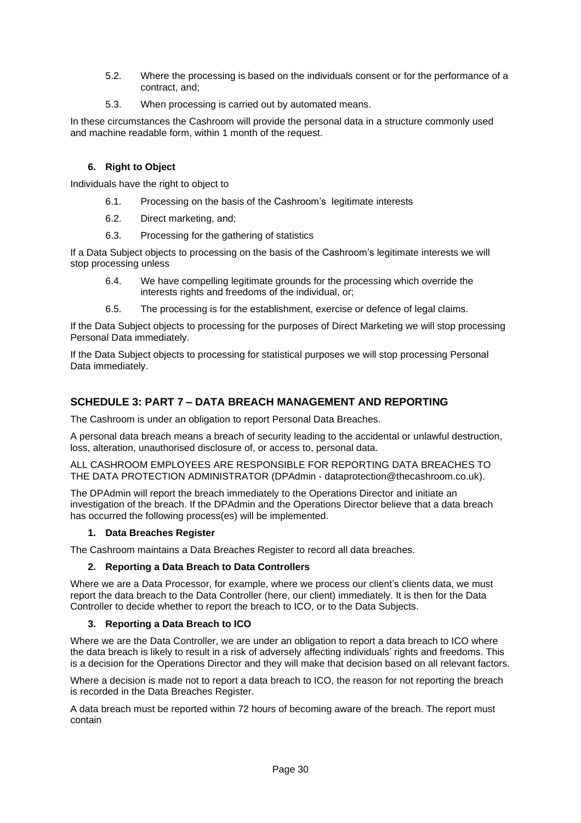- 5.2. Where the processing is based on the individuals consent or for the performance of a contract, and;
- 5.3. When processing is carried out by automated means.

In these circumstances the Cashroom will provide the personal data in a structure commonly used and machine readable form, within 1 month of the request.

# **6. Right to Object**

<span id="page-29-0"></span>Individuals have the right to object to

- 6.1. Processing on the basis of the Cashroom's legitimate interests
- 6.2. Direct marketing, and;
- 6.3. Processing for the gathering of statistics

If a Data Subject objects to processing on the basis of the Cashroom's legitimate interests we will stop processing unless

- 6.4. We have compelling legitimate grounds for the processing which override the interests rights and freedoms of the individual, or;
- 6.5. The processing is for the establishment, exercise or defence of legal claims.

If the Data Subject objects to processing for the purposes of Direct Marketing we will stop processing Personal Data immediately.

If the Data Subject objects to processing for statistical purposes we will stop processing Personal Data immediately.

# <span id="page-29-1"></span>**SCHEDULE 3: PART 7 – DATA BREACH MANAGEMENT AND REPORTING**

The Cashroom is under an obligation to report Personal Data Breaches.

A personal data breach means a breach of security leading to the accidental or unlawful destruction, loss, alteration, unauthorised disclosure of, or access to, personal data.

ALL CASHROOM EMPLOYEES ARE RESPONSIBLE FOR REPORTING DATA BREACHES TO THE DATA PROTECTION ADMINISTRATOR (DPAdmin - dataprotection@thecashroom.co.uk).

The DPAdmin will report the breach immediately to the Operations Director and initiate an investigation of the breach. If the DPAdmin and the Operations Director believe that a data breach has occurred the following process(es) will be implemented.

## **1. Data Breaches Register**

<span id="page-29-2"></span>The Cashroom maintains a Data Breaches Register to record all data breaches.

## **2. Reporting a Data Breach to Data Controllers**

<span id="page-29-3"></span>Where we are a Data Processor, for example, where we process our client's clients data, we must report the data breach to the Data Controller (here, our client) immediately. It is then for the Data Controller to decide whether to report the breach to ICO, or to the Data Subjects.

## **3. Reporting a Data Breach to ICO**

<span id="page-29-4"></span>Where we are the Data Controller, we are under an obligation to report a data breach to ICO where the data breach is likely to result in a risk of adversely affecting individuals' rights and freedoms. This is a decision for the Operations Director and they will make that decision based on all relevant factors.

Where a decision is made not to report a data breach to ICO, the reason for not reporting the breach is recorded in the Data Breaches Register.

A data breach must be reported within 72 hours of becoming aware of the breach. The report must contain